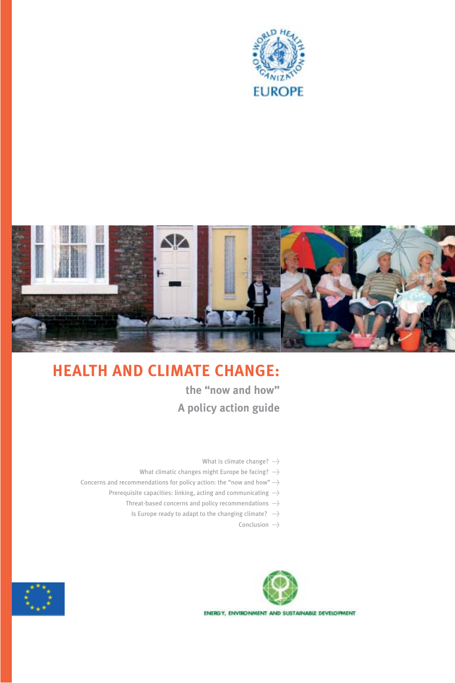



# **HEALTH AND CLIMATE CHANGE:**

**the "now and how" A policy action guide**

- What is climate change?  $\rightarrow$
- What climatic changes might Europe be facing?  $\longrightarrow$
- Concerns and recommendations for policy action: the "now and how"  $\longrightarrow$ 
	- Prerequisite capacities: linking, acting and communicating  $\rightarrow$ 
		- Threat-based concerns and policy recommendations  $\longrightarrow$ 
			- Is Europe ready to adapt to the changing climate?  $\longrightarrow$ 
				- Conclusion  $\rightarrow$





ENERGY, ENVIRONMENT AND SUSTAINABLE DEVELOPMENT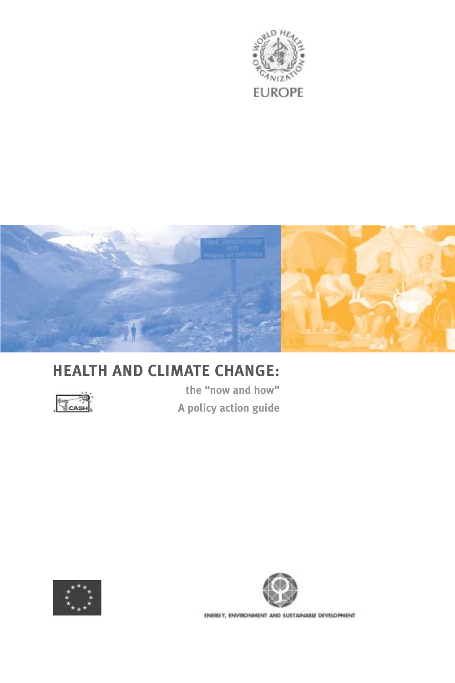



# **HEALTH AND CLIMATE CHANGE:**



**the "now and how" A policy action guide**





ENERGY, ENVIRONMENT AND SUSTAINABLE DEVELOPMENT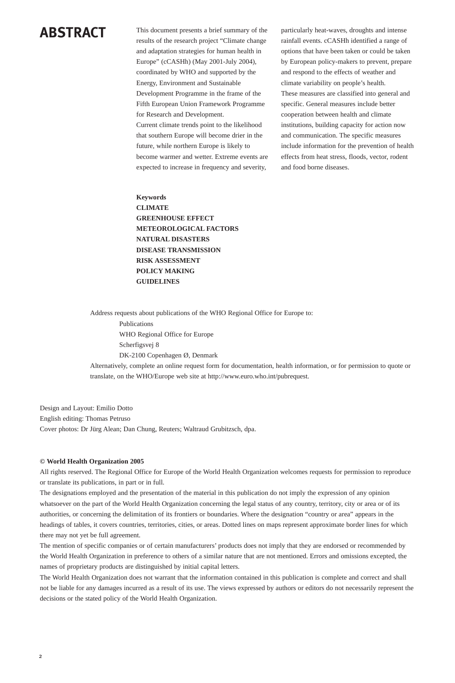# **ABSTRACT**

This document presents a brief summary of the results of the research project "Climate change and adaptation strategies for human health in Europe" (cCASHh) (May 2001-July 2004), coordinated by WHO and supported by the Energy, Environment and Sustainable Development Programme in the frame of the Fifth European Union Framework Programme for Research and Development. Current climate trends point to the likelihood that southern Europe will become drier in the future, while northern Europe is likely to become warmer and wetter. Extreme events are expected to increase in frequency and severity,

particularly heat-waves, droughts and intense rainfall events. cCASHh identified a range of options that have been taken or could be taken by European policy-makers to prevent, prepare and respond to the effects of weather and climate variability on people's health. These measures are classified into general and specific. General measures include better cooperation between health and climate institutions, building capacity for action now and communication. The specific measures include information for the prevention of health effects from heat stress, floods, vector, rodent and food borne diseases.

**Keywords CLIMATE GREENHOUSE EFFECT METEOROLOGICAL FACTORS NATURAL DISASTERS DISEASE TRANSMISSION RISK ASSESSMENT POLICY MAKING GUIDELINES**

Address requests about publications of the WHO Regional Office for Europe to: Publications WHO Regional Office for Europe Scherfigsvej 8 DK-2100 Copenhagen Ø, Denmark

Alternatively, complete an online request form for documentation, health information, or for permission to quote or translate, on the WHO/Europe web site at http://www.euro.who.int/pubrequest.

Design and Layout: Emilio Dotto English editing: Thomas Petruso Cover photos: Dr Jürg Alean; Dan Chung, Reuters; Waltraud Grubitzsch, dpa.

#### **© World Health Organization 2005**

All rights reserved. The Regional Office for Europe of the World Health Organization welcomes requests for permission to reproduce or translate its publications, in part or in full.

The designations employed and the presentation of the material in this publication do not imply the expression of any opinion whatsoever on the part of the World Health Organization concerning the legal status of any country, territory, city or area or of its authorities, or concerning the delimitation of its frontiers or boundaries. Where the designation "country or area" appears in the headings of tables, it covers countries, territories, cities, or areas. Dotted lines on maps represent approximate border lines for which there may not yet be full agreement.

The mention of specific companies or of certain manufacturers' products does not imply that they are endorsed or recommended by the World Health Organization in preference to others of a similar nature that are not mentioned. Errors and omissions excepted, the names of proprietary products are distinguished by initial capital letters.

The World Health Organization does not warrant that the information contained in this publication is complete and correct and shall not be liable for any damages incurred as a result of its use. The views expressed by authors or editors do not necessarily represent the decisions or the stated policy of the World Health Organization.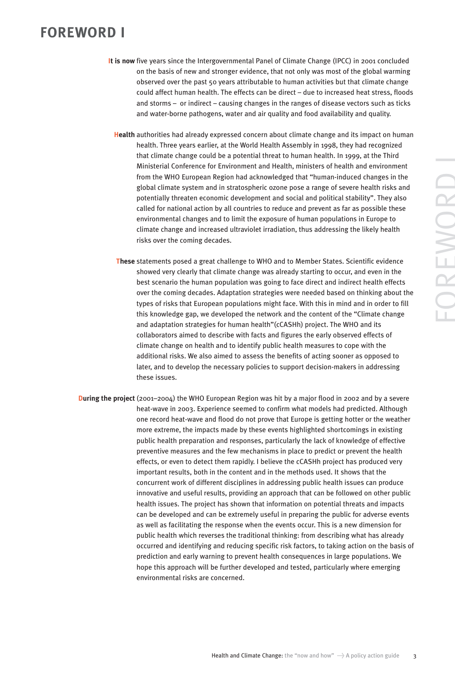# FOREWORD I FOR FWORD

# **FOREWORD I**

- It is now five years since the Intergovernmental Panel of Climate Change (IPCC) in 2001 concluded on the basis of new and stronger evidence, that not only was most of the global warming observed over the past 50 years attributable to human activities but that climate change could affect human health. The effects can be direct – due to increased heat stress, floods and storms – or indirect – causing changes in the ranges of disease vectors such as ticks and water-borne pathogens, water and air quality and food availability and quality.
	- Health authorities had already expressed concern about climate change and its impact on human health. Three years earlier, at the World Health Assembly in 1998, they had recognized that climate change could be a potential threat to human health. In 1999, at the Third Ministerial Conference for Environment and Health, ministers of health and environment from the WHO European Region had acknowledged that "human-induced changes in the global climate system and in stratospheric ozone pose a range of severe health risks and potentially threaten economic development and social and political stability". They also called for national action by all countries to reduce and prevent as far as possible these environmental changes and to limit the exposure of human populations in Europe to climate change and increased ultraviolet irradiation, thus addressing the likely health risks over the coming decades.
	- These statements posed a great challenge to WHO and to Member States. Scientific evidence showed very clearly that climate change was already starting to occur, and even in the best scenario the human population was going to face direct and indirect health effects over the coming decades. Adaptation strategies were needed based on thinking about the types of risks that European populations might face. With this in mind and in order to fill this knowledge gap, we developed the network and the content of the "Climate change and adaptation strategies for human health"(cCASHh) project. The WHO and its collaborators aimed to describe with facts and figures the early observed effects of climate change on health and to identify public health measures to cope with the additional risks. We also aimed to assess the benefits of acting sooner as opposed to later, and to develop the necessary policies to support decision-makers in addressing these issues.
- **During the project** (2001–2004) the WHO European Region was hit by a major flood in 2002 and by a severe heat-wave in 2003. Experience seemed to confirm what models had predicted. Although one record heat-wave and flood do not prove that Europe is getting hotter or the weather more extreme, the impacts made by these events highlighted shortcomings in existing public health preparation and responses, particularly the lack of knowledge of effective preventive measures and the few mechanisms in place to predict or prevent the health effects, or even to detect them rapidly. I believe the cCASHh project has produced very important results, both in the content and in the methods used. It shows that the concurrent work of different disciplines in addressing public health issues can produce innovative and useful results, providing an approach that can be followed on other public health issues. The project has shown that information on potential threats and impacts can be developed and can be extremely useful in preparing the public for adverse events as well as facilitating the response when the events occur. This is a new dimension for public health which reverses the traditional thinking: from describing what has already occurred and identifying and reducing specific risk factors, to taking action on the basis of prediction and early warning to prevent health consequences in large populations. We hope this approach will be further developed and tested, particularly where emerging environmental risks are concerned.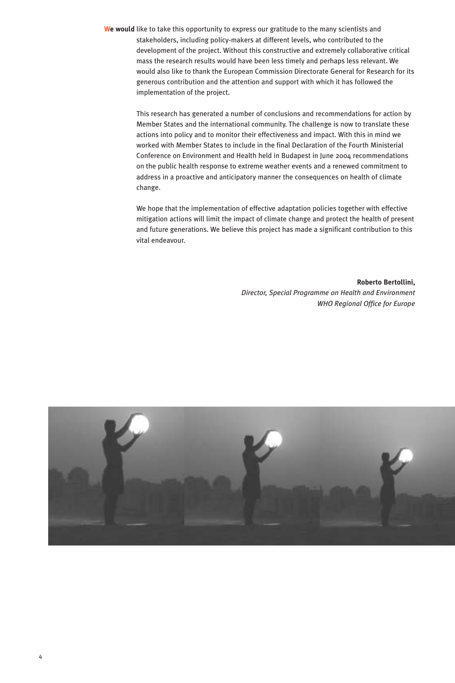We would like to take this opportunity to express our gratitude to the many scientists and stakeholders, including policy-makers at different levels, who contributed to the development of the project. Without this constructive and extremely collaborative critical mass the research results would have been less timely and perhaps less relevant. We would also like to thank the European Commission Directorate General for Research for its generous contribution and the attention and support with which it has followed the implementation of the project.

> This research has generated a number of conclusions and recommendations for action by Member States and the international community. The challenge is now to translate these actions into policy and to monitor their effectiveness and impact. With this in mind we worked with Member States to include in the final Declaration of the Fourth Ministerial Conference on Environment and Health held in Budapest in June 2004 recommendations on the public health response to extreme weather events and a renewed commitment to address in a proactive and anticipatory manner the consequences on health of climate change.

> We hope that the implementation of effective adaptation policies together with effective mitigation actions will limit the impact of climate change and protect the health of present and future generations. We believe this project has made a significant contribution to this vital endeavour.

> > **Roberto Bertollini,**  *Director, Special Programme on Health and Environment WHO Regional Office for Europe*

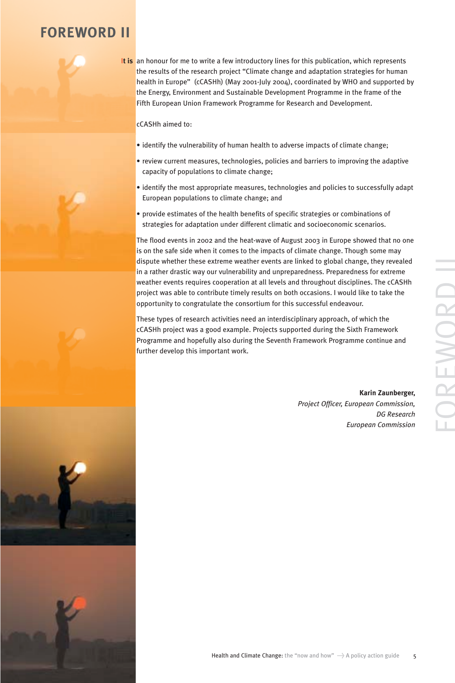# **FOREWORD II**

It is an honour for me to write a few introductory lines for this publication, which represents the results of the research project "Climate change and adaptation strategies for human health in Europe" (cCASHh) (May 2001-July 2004), coordinated by WHO and supported by the Energy, Environment and Sustainable Development Programme in the frame of the Fifth European Union Framework Programme for Research and Development.

cCASHh aimed to:

- identify the vulnerability of human health to adverse impacts of climate change;
- review current measures, technologies, policies and barriers to improving the adaptive capacity of populations to climate change;
- identify the most appropriate measures, technologies and policies to successfully adapt European populations to climate change; and
- provide estimates of the health benefits of specific strategies or combinations of strategies for adaptation under different climatic and socioeconomic scenarios.

The flood events in 2002 and the heat-wave of August 2003 in Europe showed that no one is on the safe side when it comes to the impacts of climate change. Though some may dispute whether these extreme weather events are linked to global change, they revealed in a rather drastic way our vulnerability and unpreparedness. Preparedness for extreme weather events requires cooperation at all levels and throughout disciplines. The cCASHh project was able to contribute timely results on both occasions. I would like to take the opportunity to congratulate the consortium for this successful endeavour.

These types of research activities need an interdisciplinary approach, of which the cCASHh project was a good example. Projects supported during the Sixth Framework Programme and hopefully also during the Seventh Framework Programme continue and further develop this important work.

> **Karin Zaunberger,** *Project Officer, European Commission, DG Research European Commission*

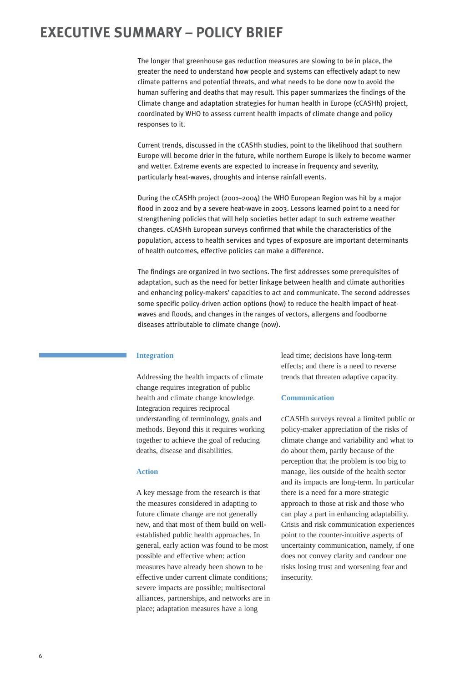## **EXECUTIVE SUMMARY – POLICY BRIEF**

The longer that greenhouse gas reduction measures are slowing to be in place, the greater the need to understand how people and systems can effectively adapt to new climate patterns and potential threats, and what needs to be done now to avoid the human suffering and deaths that may result. This paper summarizes the findings of the Climate change and adaptation strategies for human health in Europe (cCASHh) project, coordinated by WHO to assess current health impacts of climate change and policy responses to it.

Current trends, discussed in the cCASHh studies, point to the likelihood that southern Europe will become drier in the future, while northern Europe is likely to become warmer and wetter. Extreme events are expected to increase in frequency and severity, particularly heat-waves, droughts and intense rainfall events.

During the cCASHh project (2001–2004) the WHO European Region was hit by a major flood in 2002 and by a severe heat-wave in 2003. Lessons learned point to a need for strengthening policies that will help societies better adapt to such extreme weather changes. cCASHh European surveys confirmed that while the characteristics of the population, access to health services and types of exposure are important determinants of health outcomes, effective policies can make a difference.

The findings are organized in two sections. The first addresses some prerequisites of adaptation, such as the need for better linkage between health and climate authorities and enhancing policy-makers' capacities to act and communicate. The second addresses some specific policy-driven action options (how) to reduce the health impact of heatwaves and floods, and changes in the ranges of vectors, allergens and foodborne diseases attributable to climate change (now).

#### **Integration**

Addressing the health impacts of climate change requires integration of public health and climate change knowledge. Integration requires reciprocal understanding of terminology, goals and methods. Beyond this it requires working together to achieve the goal of reducing deaths, disease and disabilities.

#### **Action**

A key message from the research is that the measures considered in adapting to future climate change are not generally new, and that most of them build on wellestablished public health approaches. In general, early action was found to be most possible and effective when: action measures have already been shown to be effective under current climate conditions; severe impacts are possible; multisectoral alliances, partnerships, and networks are in place; adaptation measures have a long

lead time; decisions have long-term effects; and there is a need to reverse trends that threaten adaptive capacity.

#### **Communication**

cCASHh surveys reveal a limited public or policy-maker appreciation of the risks of climate change and variability and what to do about them, partly because of the perception that the problem is too big to manage, lies outside of the health sector and its impacts are long-term. In particular there is a need for a more strategic approach to those at risk and those who can play a part in enhancing adaptability. Crisis and risk communication experiences point to the counter-intuitive aspects of uncertainty communication, namely, if one does not convey clarity and candour one risks losing trust and worsening fear and insecurity.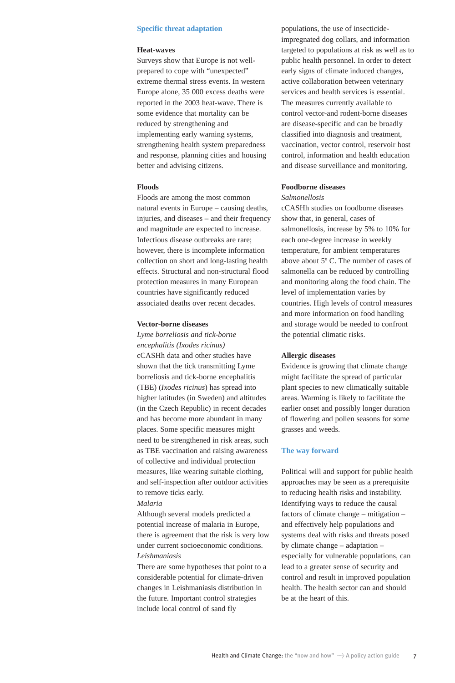#### **Specific threat adaptation**

#### **Heat-waves**

Surveys show that Europe is not wellprepared to cope with "unexpected" extreme thermal stress events. In western Europe alone, 35 000 excess deaths were reported in the 2003 heat-wave. There is some evidence that mortality can be reduced by strengthening and implementing early warning systems, strengthening health system preparedness and response, planning cities and housing better and advising citizens.

#### **Floods**

Floods are among the most common natural events in Europe – causing deaths, injuries, and diseases – and their frequency and magnitude are expected to increase. Infectious disease outbreaks are rare; however, there is incomplete information collection on short and long-lasting health effects. Structural and non-structural flood protection measures in many European countries have significantly reduced associated deaths over recent decades.

#### **Vector-borne diseases**

*Lyme borreliosis and tick-borne encephalitis (Ixodes ricinus)*  cCASHh data and other studies have shown that the tick transmitting Lyme borreliosis and tick-borne encephalitis (TBE) (*Ixodes ricinus*) has spread into higher latitudes (in Sweden) and altitudes (in the Czech Republic) in recent decades and has become more abundant in many places. Some specific measures might need to be strengthened in risk areas, such as TBE vaccination and raising awareness of collective and individual protection measures, like wearing suitable clothing, and self-inspection after outdoor activities to remove ticks early.

#### *Malaria*

Although several models predicted a potential increase of malaria in Europe, there is agreement that the risk is very low under current socioeconomic conditions. *Leishmaniasis*

There are some hypotheses that point to a considerable potential for climate-driven changes in Leishmaniasis distribution in the future. Important control strategies include local control of sand fly

populations, the use of insecticideimpregnated dog collars, and information targeted to populations at risk as well as to public health personnel. In order to detect early signs of climate induced changes, active collaboration between veterinary services and health services is essential. The measures currently available to control vector-and rodent-borne diseases are disease-specific and can be broadly classified into diagnosis and treatment, vaccination, vector control, reservoir host control, information and health education and disease surveillance and monitoring.

#### **Foodborne diseases**

*Salmonellosis*

cCASHh studies on foodborne diseases show that, in general, cases of salmonellosis, increase by 5% to 10% for each one-degree increase in weekly temperature, for ambient temperatures above about 5º C. The number of cases of salmonella can be reduced by controlling and monitoring along the food chain. The level of implementation varies by countries. High levels of control measures and more information on food handling and storage would be needed to confront the potential climatic risks.

#### **Allergic diseases**

Evidence is growing that climate change might facilitate the spread of particular plant species to new climatically suitable areas. Warming is likely to facilitate the earlier onset and possibly longer duration of flowering and pollen seasons for some grasses and weeds.

#### **The way forward**

Political will and support for public health approaches may be seen as a prerequisite to reducing health risks and instability. Identifying ways to reduce the causal factors of climate change – mitigation – and effectively help populations and systems deal with risks and threats posed by climate change – adaptation – especially for vulnerable populations, can lead to a greater sense of security and control and result in improved population health. The health sector can and should be at the heart of this.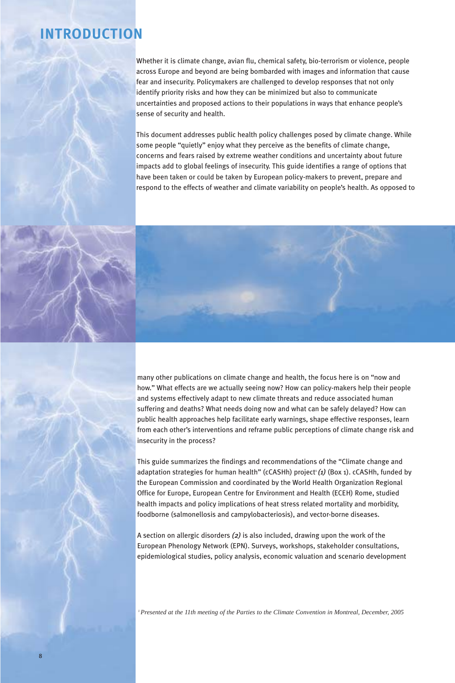# **INTRODUCTION**

Whether it is climate change, avian flu, chemical safety, bio-terrorism or violence, people across Europe and beyond are being bombarded with images and information that cause fear and insecurity. Policymakers are challenged to develop responses that not only identify priority risks and how they can be minimized but also to communicate uncertainties and proposed actions to their populations in ways that enhance people's sense of security and health.

This document addresses public health policy challenges posed by climate change. While some people "quietly" enjoy what they perceive as the benefits of climate change, concerns and fears raised by extreme weather conditions and uncertainty about future impacts add to global feelings of insecurity. This guide identifies a range of options that have been taken or could be taken by European policy-makers to prevent, prepare and respond to the effects of weather and climate variability on people's health. As opposed to

many other publications on climate change and health, the focus here is on "now and how." What effects are we actually seeing now? How can policy-makers help their people and systems effectively adapt to new climate threats and reduce associated human suffering and deaths? What needs doing now and what can be safely delayed? How can public health approaches help facilitate early warnings, shape effective responses, learn from each other's interventions and reframe public perceptions of climate change risk and insecurity in the process?

This guide summarizes the findings and recommendations of the "Climate change and adaptation strategies for human health" (cCASHh) project<sup>1</sup>(1) (Box 1). cCASHh, funded by the European Commission and coordinated by the World Health Organization Regional Office for Europe, European Centre for Environment and Health (ECEH) Rome, studied health impacts and policy implications of heat stress related mortality and morbidity, foodborne (salmonellosis and campylobacteriosis), and vector-borne diseases.

A section on allergic disorders *(2)* is also included, drawing upon the work of the European Phenology Network (EPN). Surveys, workshops, stakeholder consultations, epidemiological studies, policy analysis, economic valuation and scenario development

*1 Presented at the 11th meeting of the Parties to the Climate Convention in Montreal, December, 2005*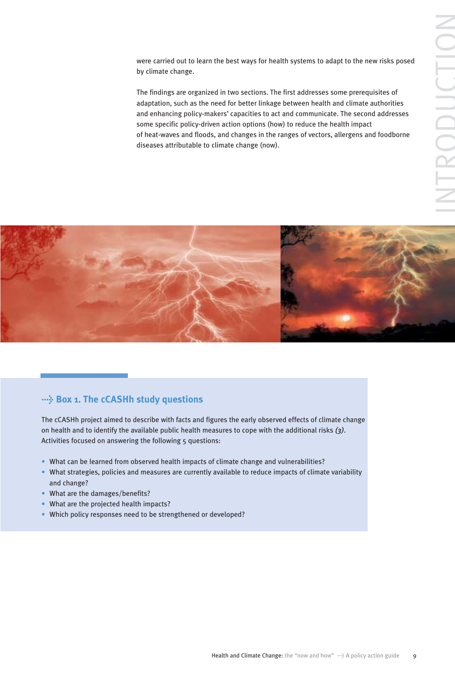were carried out to learn the best ways for health systems to adapt to the new risks posed by climate change.

The findings are organized in two sections. The first addresses some prerequisites of adaptation, such as the need for better linkage between health and climate authorities and enhancing policy-makers' capacities to act and communicate. The second addresses some specific policy-driven action options (how) to reduce the health impact of heat-waves and floods, and changes in the ranges of vectors, allergens and foodborne diseases attributable to climate change (now).



## $\cdot\cdot\cdot\cdot$  **Box 1. The cCASHh study questions**

The cCASHh project aimed to describe with facts and figures the early observed effects of climate change on health and to identify the available public health measures to cope with the additional risks *(3)*. Activities focused on answering the following 5 questions:

- **•** What can be learned from observed health impacts of climate change and vulnerabilities?
- **•** What strategies, policies and measures are currently available to reduce impacts of climate variability and change?
- **•** What are the damages/benefits?
- **•** What are the projected health impacts?
- **•** Which policy responses need to be strengthened or developed?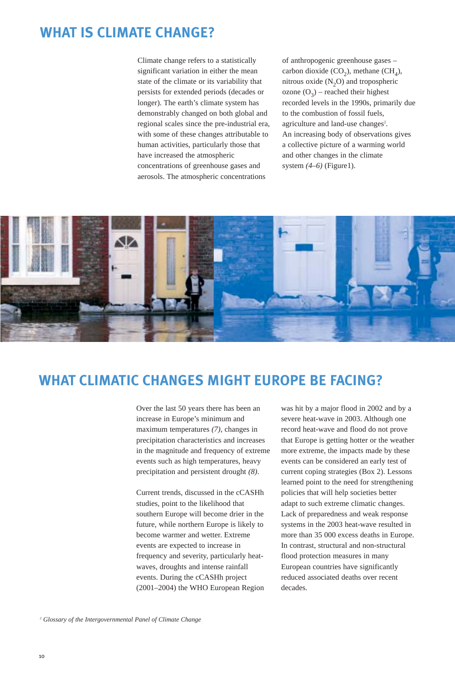# **WHAT IS CLIMATE CHANGE?**

Climate change refers to a statistically significant variation in either the mean state of the climate or its variability that persists for extended periods (decades or longer). The earth's climate system has demonstrably changed on both global and regional scales since the pre-industrial era, with some of these changes attributable to human activities, particularly those that have increased the atmospheric concentrations of greenhouse gases and aerosols. The atmospheric concentrations

of anthropogenic greenhouse gases – carbon dioxide  $(CO_2)$ , methane  $(CH_4)$ , nitrous oxide  $(N_2O)$  and tropospheric ozone  $(O_3)$  – reached their highest recorded levels in the 1990s, primarily due to the combustion of fossil fuels, agriculture and land-use changes<sup>2</sup>. An increasing body of observations gives a collective picture of a warming world and other changes in the climate system *(4–6)* (Figure1).



# **WHAT CLIMATIC CHANGES MIGHT EUROPE BE FACING?**

Over the last 50 years there has been an increase in Europe's minimum and maximum temperatures *(7)*, changes in precipitation characteristics and increases in the magnitude and frequency of extreme events such as high temperatures, heavy precipitation and persistent drought *(8)*.

Current trends, discussed in the cCASHh studies, point to the likelihood that southern Europe will become drier in the future, while northern Europe is likely to become warmer and wetter. Extreme events are expected to increase in frequency and severity, particularly heatwaves, droughts and intense rainfall events. During the cCASHh project (2001–2004) the WHO European Region

was hit by a major flood in 2002 and by a severe heat-wave in 2003. Although one record heat-wave and flood do not prove that Europe is getting hotter or the weather more extreme, the impacts made by these events can be considered an early test of current coping strategies (Box 2). Lessons learned point to the need for strengthening policies that will help societies better adapt to such extreme climatic changes. Lack of preparedness and weak response systems in the 2003 heat-wave resulted in more than 35 000 excess deaths in Europe. In contrast, structural and non-structural flood protection measures in many European countries have significantly reduced associated deaths over recent decades.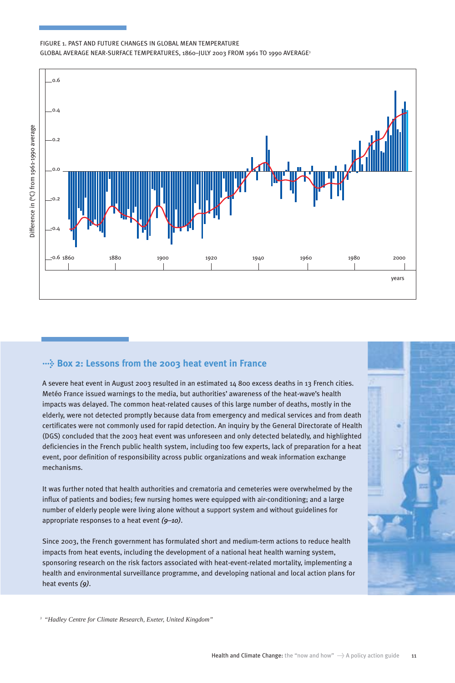#### FIGURE 1. PAST AND FUTURE CHANGES IN GLOBAL MEAN TEMPERATURE GLOBAL AVERAGE NEAR-SURFACE TEMPERATURES, 1860–JULY 2003 FROM 1961 TO 1990 AVERAGE3



## $\cdot\cdot\cdot\frac{1}{2}$  **Box 2: Lessons from the 2003 heat event in France**

A severe heat event in August 2003 resulted in an estimated 14 800 excess deaths in 13 French cities. Metéo France issued warnings to the media, but authorities' awareness of the heat-wave's health impacts was delayed. The common heat-related causes of this large number of deaths, mostly in the elderly, were not detected promptly because data from emergency and medical services and from death certificates were not commonly used for rapid detection. An inquiry by the General Directorate of Health (DGS) concluded that the 2003 heat event was unforeseen and only detected belatedly, and highlighted deficiencies in the French public health system, including too few experts, lack of preparation for a heat event, poor definition of responsibility across public organizations and weak information exchange mechanisms.

It was further noted that health authorities and crematoria and cemeteries were overwhelmed by the influx of patients and bodies; few nursing homes were equipped with air-conditioning; and a large number of elderly people were living alone without a support system and without guidelines for appropriate responses to a heat event *(9–10)*.

Since 2003, the French government has formulated short and medium-term actions to reduce health impacts from heat events, including the development of a national heat health warning system, sponsoring research on the risk factors associated with heat-event-related mortality, implementing a health and environmental surveillance programme, and developing national and local action plans for heat events *(9)*.

*3 "Hadley Centre for Climate Research, Exeter, United Kingdom"*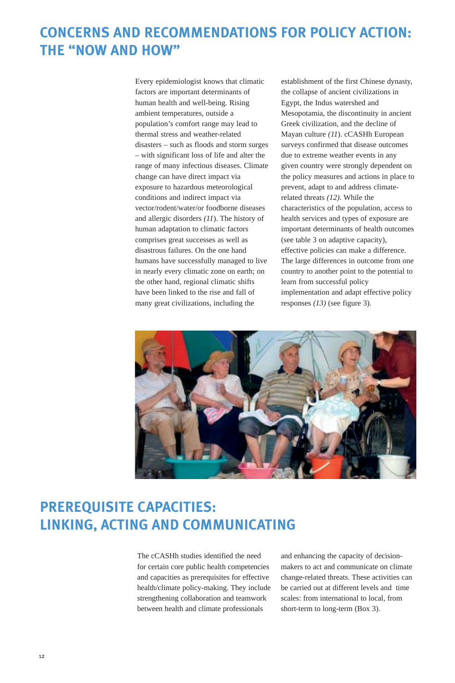# **CONCERNS AND RECOMMENDATIONS FOR POLICY ACTION: THE "NOW AND HOW"**

Every epidemiologist knows that climatic factors are important determinants of human health and well-being. Rising ambient temperatures, outside a population's comfort range may lead to thermal stress and weather-related disasters – such as floods and storm surges – with significant loss of life and alter the range of many infectious diseases. Climate change can have direct impact via exposure to hazardous meteorological conditions and indirect impact via vector/rodent/water/or foodborne diseases and allergic disorders *(11*). The history of human adaptation to climatic factors comprises great successes as well as disastrous failures. On the one hand humans have successfully managed to live in nearly every climatic zone on earth; on the other hand, regional climatic shifts have been linked to the rise and fall of many great civilizations, including the

establishment of the first Chinese dynasty, the collapse of ancient civilizations in Egypt, the Indus watershed and Mesopotamia, the discontinuity in ancient Greek civilization, and the decline of Mayan culture *(11*). cCASHh European surveys confirmed that disease outcomes due to extreme weather events in any given country were strongly dependent on the policy measures and actions in place to prevent, adapt to and address climaterelated threats *(12)*. While the characteristics of the population, access to health services and types of exposure are important determinants of health outcomes (see table 3 on adaptive capacity), effective policies can make a difference. The large differences in outcome from one country to another point to the potential to learn from successful policy implementation and adapt effective policy responses *(13)* (see figure 3).



# **PREREQUISITE CAPACITIES: LINKING, ACTING AND COMMUNICATING**

The cCASHh studies identified the need for certain core public health competencies and capacities as prerequisites for effective health/climate policy-making. They include strengthening collaboration and teamwork between health and climate professionals

and enhancing the capacity of decisionmakers to act and communicate on climate change-related threats. These activities can be carried out at different levels and time scales: from international to local, from short-term to long-term (Box 3).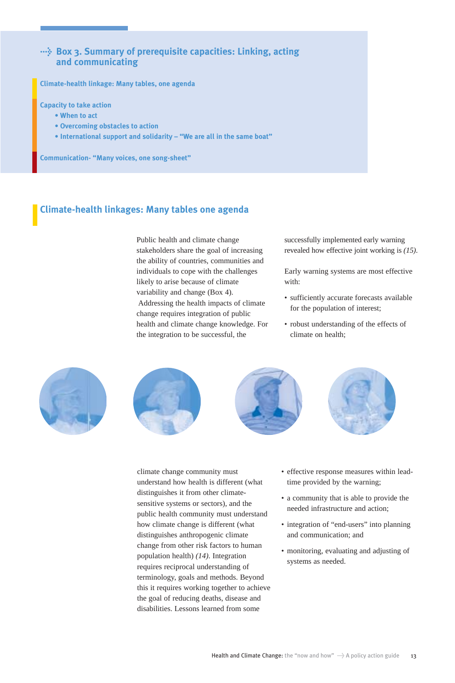## $\rightarrow$  **Box 3. Summary of prerequisite capacities: Linking, acting and communicating**

**Climate-health linkage: Many tables, one agenda**

**Capacity to take action**

- **When to act**
- **Overcoming obstacles to action**
- **International support and solidarity "We are all in the same boat"**

**Communication- "Many voices, one song-sheet"**

## **Climate-health linkages: Many tables one agenda**

Public health and climate change stakeholders share the goal of increasing the ability of countries, communities and individuals to cope with the challenges likely to arise because of climate variability and change (Box 4). Addressing the health impacts of climate change requires integration of public health and climate change knowledge. For the integration to be successful, the

successfully implemented early warning revealed how effective joint working is *(15)*.

Early warning systems are most effective with:

- sufficiently accurate forecasts available for the population of interest;
- robust understanding of the effects of climate on health;









climate change community must understand how health is different (what distinguishes it from other climatesensitive systems or sectors), and the public health community must understand how climate change is different (what distinguishes anthropogenic climate change from other risk factors to human population health) *(14)*. Integration requires reciprocal understanding of terminology, goals and methods. Beyond this it requires working together to achieve the goal of reducing deaths, disease and disabilities. Lessons learned from some

- effective response measures within leadtime provided by the warning;
- a community that is able to provide the needed infrastructure and action;
- integration of "end-users" into planning and communication; and
- monitoring, evaluating and adjusting of systems as needed.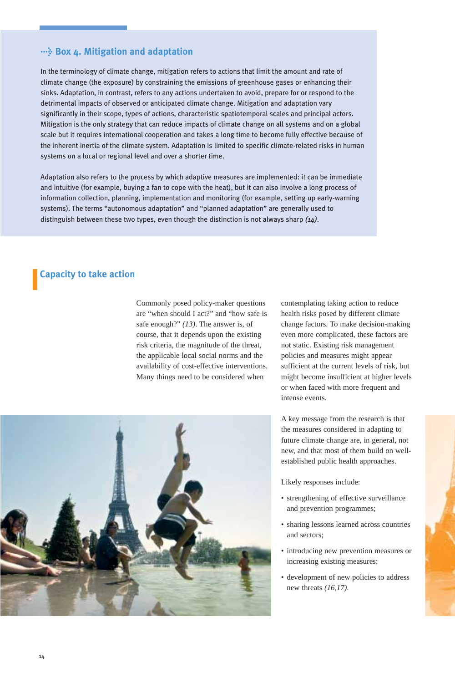## $\cdot\cdot\cdot$  **Box 4. Mitigation and adaptation**

In the terminology of climate change, mitigation refers to actions that limit the amount and rate of climate change (the exposure) by constraining the emissions of greenhouse gases or enhancing their sinks. Adaptation, in contrast, refers to any actions undertaken to avoid, prepare for or respond to the detrimental impacts of observed or anticipated climate change. Mitigation and adaptation vary significantly in their scope, types of actions, characteristic spatiotemporal scales and principal actors. Mitigation is the only strategy that can reduce impacts of climate change on all systems and on a global scale but it requires international cooperation and takes a long time to become fully effective because of the inherent inertia of the climate system. Adaptation is limited to specific climate-related risks in human systems on a local or regional level and over a shorter time.

Adaptation also refers to the process by which adaptive measures are implemented: it can be immediate and intuitive (for example, buying a fan to cope with the heat), but it can also involve a long process of information collection, planning, implementation and monitoring (for example, setting up early-warning systems). The terms "autonomous adaptation" and "planned adaptation" are generally used to distinguish between these two types, even though the distinction is not always sharp *(14)*.

## **Capacity to take action**

Commonly posed policy-maker questions are "when should I act?" and "how safe is safe enough?" *(13)*. The answer is, of course, that it depends upon the existing risk criteria, the magnitude of the threat, the applicable local social norms and the availability of cost-effective interventions. Many things need to be considered when



contemplating taking action to reduce health risks posed by different climate change factors. To make decision-making even more complicated, these factors are not static. Existing risk management policies and measures might appear sufficient at the current levels of risk, but might become insufficient at higher levels or when faced with more frequent and intense events.

A key message from the research is that the measures considered in adapting to future climate change are, in general, not new, and that most of them build on wellestablished public health approaches.

Likely responses include:

- strengthening of effective surveillance and prevention programmes;
- sharing lessons learned across countries and sectors;
- introducing new prevention measures or increasing existing measures;
- development of new policies to address new threats *(16,17)*.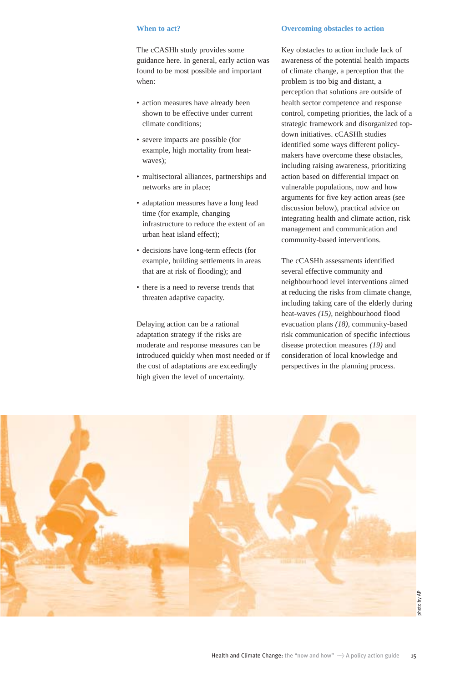#### **When to act?**

The cCASHh study provides some guidance here. In general, early action was found to be most possible and important when:

- action measures have already been shown to be effective under current climate conditions;
- severe impacts are possible (for example, high mortality from heatwaves);
- multisectoral alliances, partnerships and networks are in place;
- adaptation measures have a long lead time (for example, changing infrastructure to reduce the extent of an urban heat island effect);
- decisions have long-term effects (for example, building settlements in areas that are at risk of flooding); and
- there is a need to reverse trends that threaten adaptive capacity.

Delaying action can be a rational adaptation strategy if the risks are moderate and response measures can be introduced quickly when most needed or if the cost of adaptations are exceedingly high given the level of uncertainty.

#### **Overcoming obstacles to action**

Key obstacles to action include lack of awareness of the potential health impacts of climate change, a perception that the problem is too big and distant, a perception that solutions are outside of health sector competence and response control, competing priorities, the lack of a strategic framework and disorganized topdown initiatives. cCASHh studies identified some ways different policymakers have overcome these obstacles, including raising awareness, prioritizing action based on differential impact on vulnerable populations, now and how arguments for five key action areas (see discussion below), practical advice on integrating health and climate action, risk management and communication and community-based interventions.

The cCASHh assessments identified several effective community and neighbourhood level interventions aimed at reducing the risks from climate change, including taking care of the elderly during heat-waves *(15)*, neighbourhood flood evacuation plans *(18)*, community-based risk communication of specific infectious disease protection measures *(19)* and consideration of local knowledge and perspectives in the planning process.

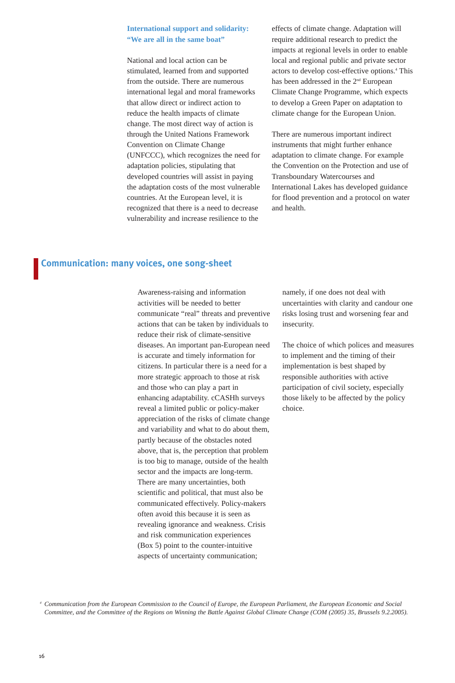#### **International support and solidarity: "We are all in the same boat"**

National and local action can be stimulated, learned from and supported from the outside. There are numerous international legal and moral frameworks that allow direct or indirect action to reduce the health impacts of climate change. The most direct way of action is through the United Nations Framework Convention on Climate Change (UNFCCC), which recognizes the need for adaptation policies, stipulating that developed countries will assist in paying the adaptation costs of the most vulnerable countries. At the European level, it is recognized that there is a need to decrease vulnerability and increase resilience to the

effects of climate change. Adaptation will require additional research to predict the impacts at regional levels in order to enable local and regional public and private sector actors to develop cost-effective options.4 This has been addressed in the 2nd European Climate Change Programme, which expects to develop a Green Paper on adaptation to climate change for the European Union.

There are numerous important indirect instruments that might further enhance adaptation to climate change. For example the Convention on the Protection and use of Transboundary Watercourses and International Lakes has developed guidance for flood prevention and a protocol on water and health.

## **Communication: many voices, one song-sheet**

Awareness-raising and information activities will be needed to better communicate "real" threats and preventive actions that can be taken by individuals to reduce their risk of climate-sensitive diseases. An important pan-European need is accurate and timely information for citizens. In particular there is a need for a more strategic approach to those at risk and those who can play a part in enhancing adaptability. cCASHh surveys reveal a limited public or policy-maker appreciation of the risks of climate change and variability and what to do about them, partly because of the obstacles noted above, that is, the perception that problem is too big to manage, outside of the health sector and the impacts are long-term. There are many uncertainties, both scientific and political, that must also be communicated effectively. Policy-makers often avoid this because it is seen as revealing ignorance and weakness. Crisis and risk communication experiences (Box 5) point to the counter-intuitive aspects of uncertainty communication;

namely, if one does not deal with uncertainties with clarity and candour one risks losing trust and worsening fear and insecurity.

The choice of which polices and measures to implement and the timing of their implementation is best shaped by responsible authorities with active participation of civil society, especially those likely to be affected by the policy choice.

*4 Communication from the European Commission to the Council of Europe, the European Parliament, the European Economic and Social Committee, and the Committee of the Regions on Winning the Battle Against Global Climate Change (COM (2005) 35, Brussels 9.2.2005).*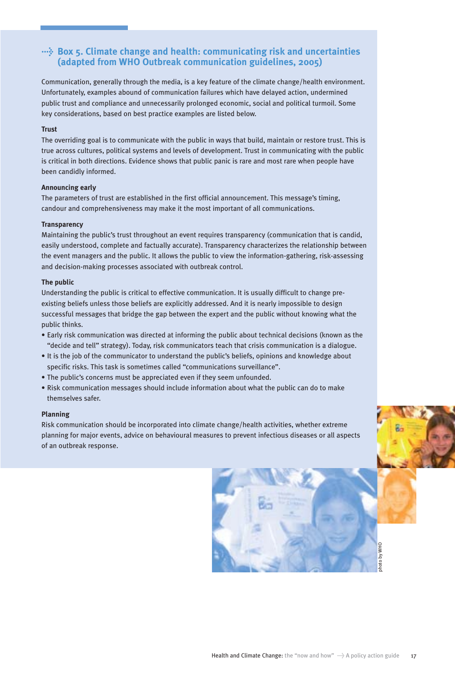## $\rightarrow$  **Box 5. Climate change and health: communicating risk and uncertainties (adapted from WHO Outbreak communication guidelines, 2005)**

Communication, generally through the media, is a key feature of the climate change/health environment. Unfortunately, examples abound of communication failures which have delayed action, undermined public trust and compliance and unnecessarily prolonged economic, social and political turmoil. Some key considerations, based on best practice examples are listed below.

#### **Trust**

The overriding goal is to communicate with the public in ways that build, maintain or restore trust. This is true across cultures, political systems and levels of development. Trust in communicating with the public is critical in both directions. Evidence shows that public panic is rare and most rare when people have been candidly informed.

#### **Announcing early**

The parameters of trust are established in the first official announcement. This message's timing, candour and comprehensiveness may make it the most important of all communications.

#### **Transparency**

Maintaining the public's trust throughout an event requires transparency (communication that is candid, easily understood, complete and factually accurate). Transparency characterizes the relationship between the event managers and the public. It allows the public to view the information-gathering, risk-assessing and decision-making processes associated with outbreak control.

#### **The public**

Understanding the public is critical to effective communication. It is usually difficult to change preexisting beliefs unless those beliefs are explicitly addressed. And it is nearly impossible to design successful messages that bridge the gap between the expert and the public without knowing what the public thinks.

- Early risk communication was directed at informing the public about technical decisions (known as the "decide and tell" strategy). Today, risk communicators teach that crisis communication is a dialogue.
- It is the job of the communicator to understand the public's beliefs, opinions and knowledge about specific risks. This task is sometimes called "communications surveillance".
- The public's concerns must be appreciated even if they seem unfounded.
- Risk communication messages should include information about what the public can do to make themselves safer.

#### **Planning**

Risk communication should be incorporated into climate change/health activities, whether extreme planning for major events, advice on behavioural measures to prevent infectious diseases or all aspects of an outbreak response.



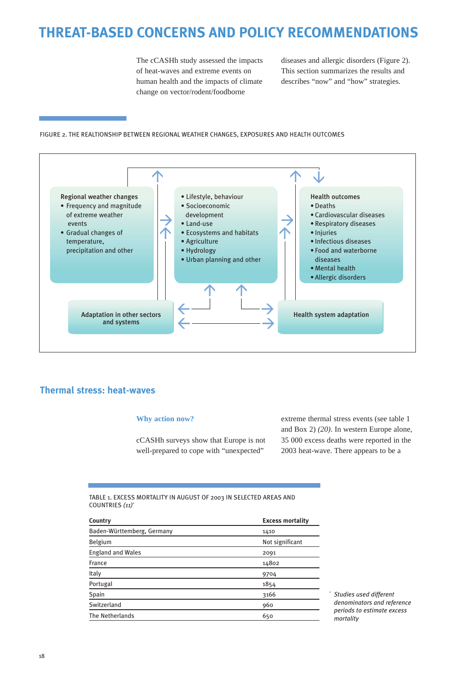# **THREAT-BASED CONCERNS AND POLICY RECOMMENDATIONS**

The cCASHh study assessed the impacts of heat-waves and extreme events on human health and the impacts of climate change on vector/rodent/foodborne

diseases and allergic disorders (Figure 2). This section summarizes the results and describes "now" and "how" strategies.

#### FIGURE 2. THE REALTIONSHIP BETWEEN REGIONAL WEATHER CHANGES, EXPOSURES AND HEALTH OUTCOMES



## **Thermal stress: heat-waves**

#### **Why action now?**

cCASHh surveys show that Europe is not well-prepared to cope with "unexpected"

extreme thermal stress events (see table 1 and Box 2) *(20)*. In western Europe alone, 35 000 excess deaths were reported in the 2003 heat-wave. There appears to be a

#### TABLE 1. EXCESS MORTALITY IN AUGUST OF 2003 IN SELECTED AREAS AND COUNTRIES *(11)*\*

| Country                    | <b>Excess mortality</b> |
|----------------------------|-------------------------|
| Baden-Württemberg, Germany | 1410                    |
| Belgium                    | Not significant         |
| <b>England and Wales</b>   | 2091                    |
| France                     | 14802                   |
| Italy                      | 9704                    |
| Portugal                   | 1854                    |
| Spain                      | 3166                    |
| Switzerland                | 960                     |
| The Netherlands            | 650                     |

\* *Studies used different denominators and reference periods to estimate excess mortality*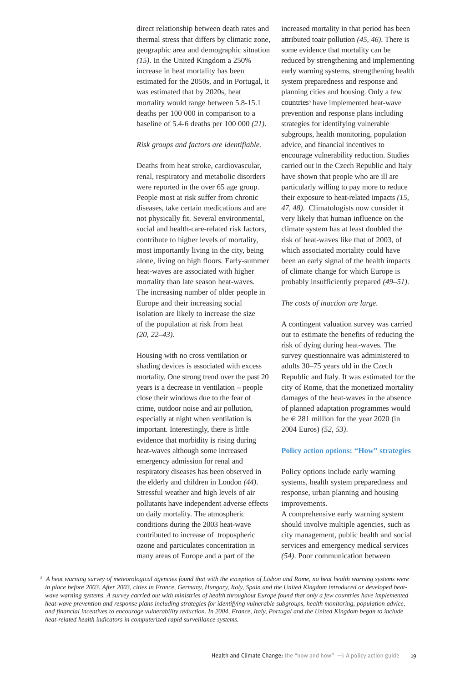direct relationship between death rates and thermal stress that differs by climatic zone, geographic area and demographic situation *(15)*. In the United Kingdom a 250% increase in heat mortality has been estimated for the 2050s, and in Portugal, it was estimated that by 2020s, heat mortality would range between 5.8-15.1 deaths per 100 000 in comparison to a baseline of 5.4-6 deaths per 100 000 *(21)*.

#### *Risk groups and factors are identifiable.*

Deaths from heat stroke, cardiovascular, renal, respiratory and metabolic disorders were reported in the over 65 age group. People most at risk suffer from chronic diseases, take certain medications and are not physically fit. Several environmental, social and health-care-related risk factors, contribute to higher levels of mortality, most importantly living in the city, being alone, living on high floors. Early-summer heat-waves are associated with higher mortality than late season heat-waves. The increasing number of older people in Europe and their increasing social isolation are likely to increase the size of the population at risk from heat *(20, 22–43)*.

Housing with no cross ventilation or shading devices is associated with excess mortality. One strong trend over the past 20 years is a decrease in ventilation – people close their windows due to the fear of crime, outdoor noise and air pollution, especially at night when ventilation is important. Interestingly, there is little evidence that morbidity is rising during heat-waves although some increased emergency admission for renal and respiratory diseases has been observed in the elderly and children in London *(44)*. Stressful weather and high levels of air pollutants have independent adverse effects on daily mortality. The atmospheric conditions during the 2003 heat-wave contributed to increase of tropospheric ozone and particulates concentration in many areas of Europe and a part of the

increased mortality in that period has been attributed toair pollution *(45, 46)*. There is some evidence that mortality can be reduced by strengthening and implementing early warning systems, strengthening health system preparedness and response and planning cities and housing. Only a few countries<sup>5</sup> have implemented heat-wave prevention and response plans including strategies for identifying vulnerable subgroups, health monitoring, population advice, and financial incentives to encourage vulnerability reduction. Studies carried out in the Czech Republic and Italy have shown that people who are ill are particularly willing to pay more to reduce their exposure to heat-related impacts *(15, 47, 48)*. Climatologists now consider it very likely that human influence on the climate system has at least doubled the risk of heat-waves like that of 2003, of which associated mortality could have been an early signal of the health impacts of climate change for which Europe is probably insufficiently prepared *(49–51)*.

#### *The costs of inaction are large.*

A contingent valuation survey was carried out to estimate the benefits of reducing the risk of dying during heat-waves. The survey questionnaire was administered to adults 30–75 years old in the Czech Republic and Italy. It was estimated for the city of Rome, that the monetized mortality damages of the heat-waves in the absence of planned adaptation programmes would be  $\in$  281 million for the year 2020 (in 2004 Euros) *(52, 53)*.

#### **Policy action options: "How" strategies**

Policy options include early warning systems, health system preparedness and response, urban planning and housing improvements.

A comprehensive early warning system should involve multiple agencies, such as city management, public health and social services and emergency medical services *(54)*. Poor communication between

*<sup>5</sup> A heat warning survey of meteorological agencies found that with the exception of Lisbon and Rome, no heat health warning systems were in place before 2003. After 2003, cities in France, Germany, Hungary, Italy, Spain and the United Kingdom introduced or developed heatwave warning systems. A survey carried out with ministries of health throughout Europe found that only a few countries have implemented heat-wave prevention and response plans including strategies for identifying vulnerable subgroups, health monitoring, population advice,* and financial incentives to encourage vulnerability reduction. In 2004, France, Italy, Portugal and the United Kingdom began to include *heat-related health indicators in computerized rapid surveillance systems.*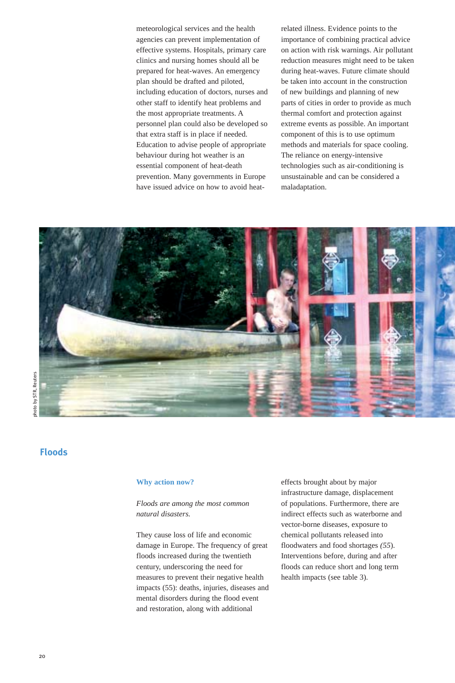meteorological services and the health agencies can prevent implementation of effective systems. Hospitals, primary care clinics and nursing homes should all be prepared for heat-waves. An emergency plan should be drafted and piloted, including education of doctors, nurses and other staff to identify heat problems and the most appropriate treatments. A personnel plan could also be developed so that extra staff is in place if needed. Education to advise people of appropriate behaviour during hot weather is an essential component of heat-death prevention. Many governments in Europe have issued advice on how to avoid heat-

related illness. Evidence points to the importance of combining practical advice on action with risk warnings. Air pollutant reduction measures might need to be taken during heat-waves. Future climate should be taken into account in the construction of new buildings and planning of new parts of cities in order to provide as much thermal comfort and protection against extreme events as possible. An important component of this is to use optimum methods and materials for space cooling. The reliance on energy-intensive technologies such as air-conditioning is unsustainable and can be considered a maladaptation.



# ohoto by STR, Reuters photo by STR, Reuters

## **Floods**

#### **Why action now?**

#### *Floods are among the most common natural disasters.*

They cause loss of life and economic damage in Europe. The frequency of great floods increased during the twentieth century, underscoring the need for measures to prevent their negative health impacts (55): deaths, injuries, diseases and mental disorders during the flood event and restoration, along with additional

effects brought about by major infrastructure damage, displacement of populations. Furthermore, there are indirect effects such as waterborne and vector-borne diseases, exposure to chemical pollutants released into floodwaters and food shortages *(55*). Interventions before, during and after floods can reduce short and long term health impacts (see table 3).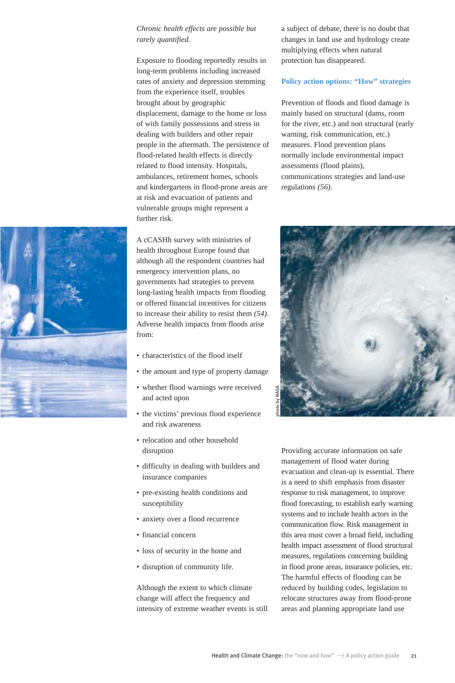#### *Chronic health effects are possible but rarely quantified.*

Exposure to flooding reportedly results in long-term problems including increased rates of anxiety and depression stemming from the experience itself, troubles brought about by geographic displacement, damage to the home or loss of with family possessions and stress in dealing with builders and other repair people in the aftermath. The persistence of flood-related health effects is directly related to flood intensity. Hospitals, ambulances, retirement homes, schools and kindergartens in flood-prone areas are at risk and evacuation of patients and vulnerable groups might represent a further risk.

A cCASHh survey with ministries of health throughout Europe found that although all the respondent countries had emergency intervention plans, no governments had strategies to prevent long-lasting health impacts from flooding or offered financial incentives for citizens to increase their ability to resist them *(54)*. Adverse health impacts from floods arise from:

- characteristics of the flood itself
- the amount and type of property damage
- whether flood warnings were received and acted upon
- the victims' previous flood experience and risk awareness
- relocation and other household disruption
- difficulty in dealing with builders and insurance companies
- pre-existing health conditions and susceptibility
- anxiety over a flood recurrence
- financial concern
- loss of security in the home and
- disruption of community life.

Although the extent to which climate change will affect the frequency and intensity of extreme weather events is still a subject of debate, there is no doubt that changes in land use and hydrology create multiplying effects when natural protection has disappeared.

#### **Policy action options: "How" strategies**

Prevention of floods and flood damage is mainly based on structural (dams, room for the river, etc.) and non structural (early warning, risk communication, etc.) measures. Flood prevention plans normally include environmental impact assessments (flood plains), communications strategies and land-use regulations *(56)*.



Providing accurate information on safe management of flood water during evacuation and clean-up is essential. There is a need to shift emphasis from disaster response to risk management, to improve flood forecasting, to establish early warning systems and to include health actors in the communication flow. Risk management in this area must cover a broad field, including health impact assessment of flood structural measures, regulations concerning building in flood prone areas, insurance policies, etc. The harmful effects of flooding can be reduced by building codes, legislation to relocate structures away from flood-prone areas and planning appropriate land use

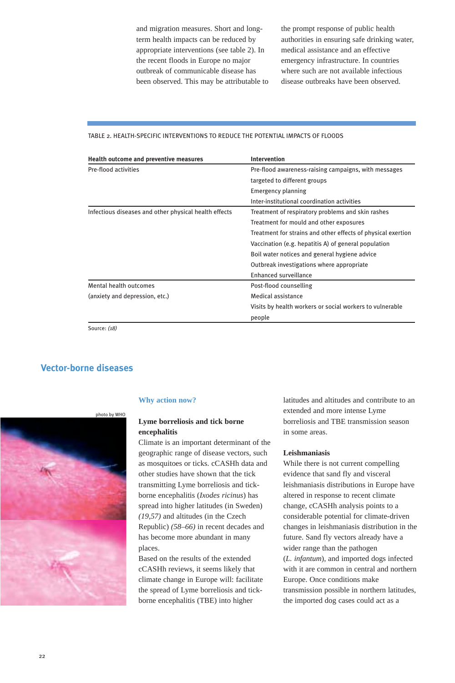and migration measures. Short and longterm health impacts can be reduced by appropriate interventions (see table 2). In the recent floods in Europe no major outbreak of communicable disease has been observed. This may be attributable to

the prompt response of public health authorities in ensuring safe drinking water, medical assistance and an effective emergency infrastructure. In countries where such are not available infectious disease outbreaks have been observed.

TABLE 2. HEALTH-SPECIFIC INTERVENTIONS TO REDUCE THE POTENTIAL IMPACTS OF FLOODS

| Health outcome and preventive measures                | <b>Intervention</b>                                          |
|-------------------------------------------------------|--------------------------------------------------------------|
| Pre-flood activities                                  | Pre-flood awareness-raising campaigns, with messages         |
|                                                       | targeted to different groups                                 |
|                                                       | Emergency planning                                           |
|                                                       | Inter-institutional coordination activities                  |
| Infectious diseases and other physical health effects | Treatment of respiratory problems and skin rashes            |
|                                                       | Treatment for mould and other exposures                      |
|                                                       | Treatment for strains and other effects of physical exertion |
|                                                       | Vaccination (e.g. hepatitis A) of general population         |
|                                                       | Boil water notices and general hygiene advice                |
|                                                       | Outbreak investigations where appropriate                    |
|                                                       | <b>Enhanced surveillance</b>                                 |
| Mental health outcomes                                | Post-flood counselling                                       |
| (anxiety and depression, etc.)                        | Medical assistance                                           |
|                                                       | Visits by health workers or social workers to vulnerable     |
|                                                       | people                                                       |

Source: *(18)*

## **Vector-borne diseases**



#### **Why action now?**

#### **Lyme borreliosis and tick borne encephalitis**

Climate is an important determinant of the geographic range of disease vectors, such as mosquitoes or ticks. cCASHh data and other studies have shown that the tick transmitting Lyme borreliosis and tickborne encephalitis (*Ixodes ricinus*) has spread into higher latitudes (in Sweden) *(19,57)* and altitudes (in the Czech Republic) *(58–66)* in recent decades and has become more abundant in many places.

Based on the results of the extended cCASHh reviews, it seems likely that climate change in Europe will: facilitate the spread of Lyme borreliosis and tickborne encephalitis (TBE) into higher

latitudes and altitudes and contribute to an extended and more intense Lyme borreliosis and TBE transmission season in some areas.

#### **Leishmaniasis**

While there is not current compelling evidence that sand fly and visceral leishmaniasis distributions in Europe have altered in response to recent climate change, cCASHh analysis points to a considerable potential for climate-driven changes in leishmaniasis distribution in the future. Sand fly vectors already have a wider range than the pathogen (*L. infantum*), and imported dogs infected with it are common in central and northern Europe. Once conditions make transmission possible in northern latitudes, the imported dog cases could act as a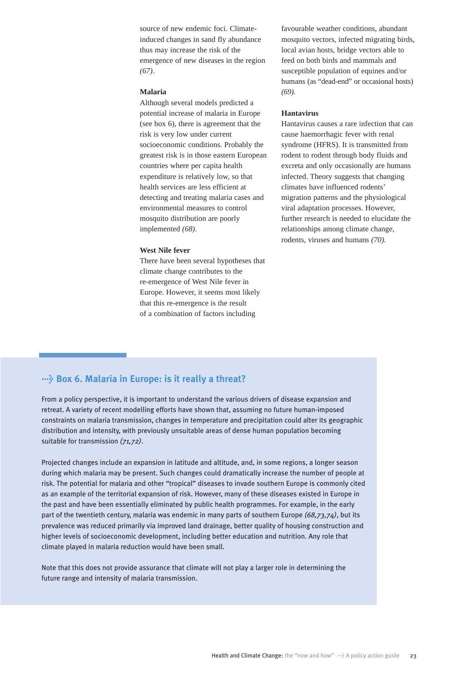source of new endemic foci. Climateinduced changes in sand fly abundance thus may increase the risk of the emergence of new diseases in the region *(67)*.

#### **Malaria**

Although several models predicted a potential increase of malaria in Europe (see box 6), there is agreement that the risk is very low under current socioeconomic conditions. Probably the greatest risk is in those eastern European countries where per capita health expenditure is relatively low, so that health services are less efficient at detecting and treating malaria cases and environmental measures to control mosquito distribution are poorly implemented *(68)*.

#### **West Nile fever**

There have been several hypotheses that climate change contributes to the re-emergence of West Nile fever in Europe. However, it seems most likely that this re-emergence is the result of a combination of factors including

favourable weather conditions, abundant mosquito vectors, infected migrating birds, local avian hosts, bridge vectors able to feed on both birds and mammals and susceptible population of equines and/or humans (as "dead-end" or occasional hosts) *(69)*.

#### **Hantavirus**

Hantavirus causes a rare infection that can cause haemorrhagic fever with renal syndrome (HFRS). It is transmitted from rodent to rodent through body fluids and excreta and only occasionally are humans infected. Theory suggests that changing climates have influenced rodents' migration patterns and the physiological viral adaptation processes. However, further research is needed to elucidate the relationships among climate change, rodents, viruses and humans *(70)*.

## $\cdot\cdot\cdot$  **Box 6. Malaria in Europe: is it really a threat?**

From a policy perspective, it is important to understand the various drivers of disease expansion and retreat. A variety of recent modelling efforts have shown that, assuming no future human-imposed constraints on malaria transmission, changes in temperature and precipitation could alter its geographic distribution and intensity, with previously unsuitable areas of dense human population becoming suitable for transmission *(71,72)*.

Projected changes include an expansion in latitude and altitude, and, in some regions, a longer season during which malaria may be present. Such changes could dramatically increase the number of people at risk. The potential for malaria and other "tropical" diseases to invade southern Europe is commonly cited as an example of the territorial expansion of risk. However, many of these diseases existed in Europe in the past and have been essentially eliminated by public health programmes. For example, in the early part of the twentieth century, malaria was endemic in many parts of southern Europe *(68,73,74)*, but its prevalence was reduced primarily via improved land drainage, better quality of housing construction and higher levels of socioeconomic development, including better education and nutrition. Any role that climate played in malaria reduction would have been small.

Note that this does not provide assurance that climate will not play a larger role in determining the future range and intensity of malaria transmission.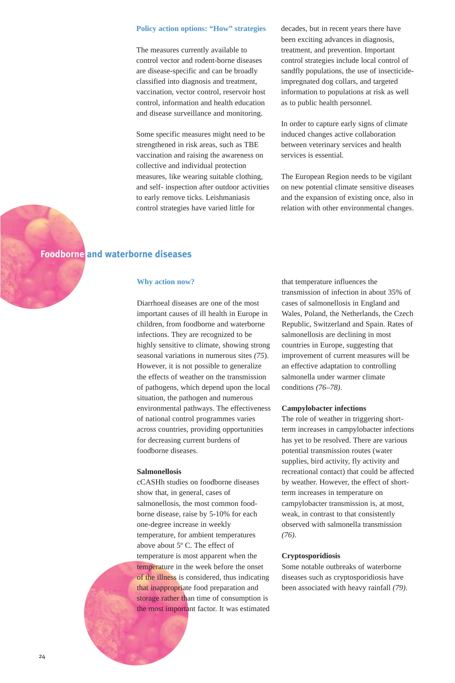#### **Policy action options: "How" strategies**

The measures currently available to control vector and rodent-borne diseases are disease-specific and can be broadly classified into diagnosis and treatment, vaccination, vector control, reservoir host control, information and health education and disease surveillance and monitoring.

Some specific measures might need to be strengthened in risk areas, such as TBE vaccination and raising the awareness on collective and individual protection measures, like wearing suitable clothing, and self- inspection after outdoor activities to early remove ticks. Leishmaniasis control strategies have varied little for

decades, but in recent years there have been exciting advances in diagnosis, treatment, and prevention. Important control strategies include local control of sandfly populations, the use of insecticideimpregnated dog collars, and targeted information to populations at risk as well as to public health personnel.

In order to capture early signs of climate induced changes active collaboration between veterinary services and health services is essential.

The European Region needs to be vigilant on new potential climate sensitive diseases and the expansion of existing once, also in relation with other environmental changes.

### **Foodborne and waterborne diseases**

#### **Why action now?**

Diarrhoeal diseases are one of the most important causes of ill health in Europe in children, from foodborne and waterborne infections. They are recognized to be highly sensitive to climate, showing strong seasonal variations in numerous sites *(75*). However, it is not possible to generalize the effects of weather on the transmission of pathogens, which depend upon the local situation, the pathogen and numerous environmental pathways. The effectiveness of national control programmes varies across countries, providing opportunities for decreasing current burdens of foodborne diseases.

#### **Salmonellosis**

cCASHh studies on foodborne diseases show that, in general, cases of salmonellosis, the most common foodborne disease, raise by 5-10% for each one-degree increase in weekly temperature, for ambient temperatures above about 5º C. The effect of temperature is most apparent when the temperature in the week before the onset of the illness is considered, thus indicating that inappropriate food preparation and storage rather than time of consumption is the most important factor. It was estimated

that temperature influences the transmission of infection in about 35% of cases of salmonellosis in England and Wales, Poland, the Netherlands, the Czech Republic, Switzerland and Spain. Rates of salmonellosis are declining in most countries in Europe, suggesting that improvement of current measures will be an effective adaptation to controlling salmonella under warmer climate conditions *(76–78)*.

#### **Campylobacter infections**

The role of weather in triggering shortterm increases in campylobacter infections has yet to be resolved. There are various potential transmission routes (water supplies, bird activity, fly activity and recreational contact) that could be affected by weather. However, the effect of shortterm increases in temperature on campylobacter transmission is, at most, weak, in contrast to that consistently observed with salmonella transmission *(76)*.

#### **Cryptosporidiosis**

Some notable outbreaks of waterborne diseases such as cryptosporidiosis have been associated with heavy rainfall *(79)*.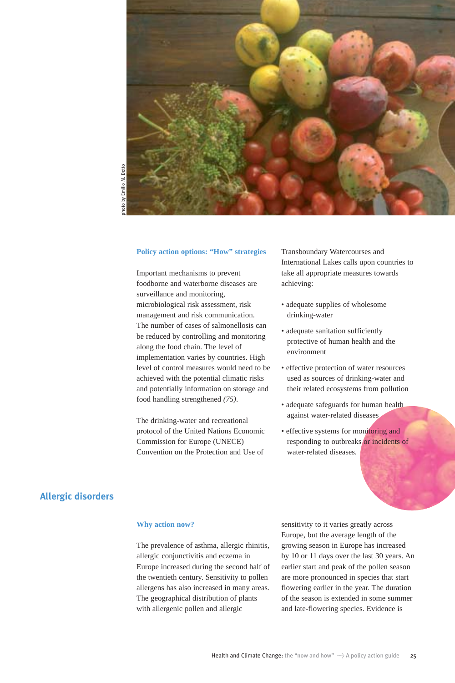

# ohoto by Emilio M. Dotto photo by Emilio M. Dotto

#### **Policy action options: "How" strategies**

Important mechanisms to prevent foodborne and waterborne diseases are surveillance and monitoring, microbiological risk assessment, risk management and risk communication. The number of cases of salmonellosis can be reduced by controlling and monitoring along the food chain. The level of implementation varies by countries. High level of control measures would need to be achieved with the potential climatic risks and potentially information on storage and food handling strengthened *(75)*.

The drinking-water and recreational protocol of the United Nations Economic Commission for Europe (UNECE) Convention on the Protection and Use of

Transboundary Watercourses and International Lakes calls upon countries to take all appropriate measures towards achieving:

- adequate supplies of wholesome drinking-water
- adequate sanitation sufficiently protective of human health and the environment
- effective protection of water resources used as sources of drinking-water and their related ecosystems from pollution
- adequate safeguards for human health against water-related diseases
- effective systems for monitoring and responding to outbreaks or incidents of water-related diseases.

## **Allergic disorders**

#### **Why action now?**

The prevalence of asthma, allergic rhinitis, allergic conjunctivitis and eczema in Europe increased during the second half of the twentieth century. Sensitivity to pollen allergens has also increased in many areas. The geographical distribution of plants with allergenic pollen and allergic

sensitivity to it varies greatly across Europe, but the average length of the growing season in Europe has increased by 10 or 11 days over the last 30 years. An earlier start and peak of the pollen season are more pronounced in species that start flowering earlier in the year. The duration of the season is extended in some summer and late-flowering species. Evidence is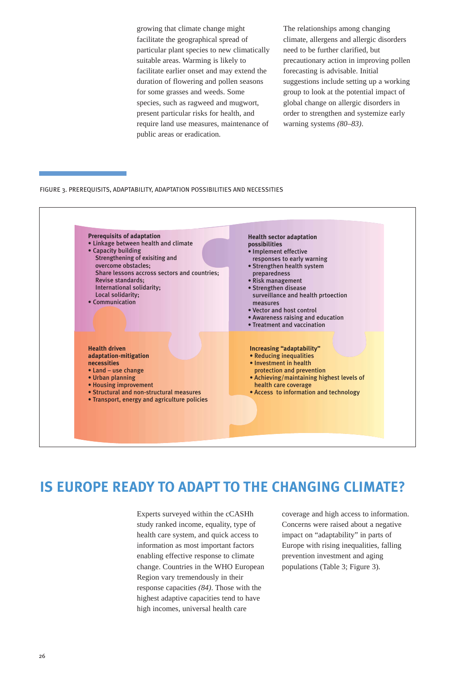growing that climate change might facilitate the geographical spread of particular plant species to new climatically suitable areas. Warming is likely to facilitate earlier onset and may extend the duration of flowering and pollen seasons for some grasses and weeds. Some species, such as ragweed and mugwort, present particular risks for health, and require land use measures, maintenance of public areas or eradication.

The relationships among changing climate, allergens and allergic disorders need to be further clarified, but precautionary action in improving pollen forecasting is advisable. Initial suggestions include setting up a working group to look at the potential impact of global change on allergic disorders in order to strengthen and systemize early warning systems *(80–83)*.

#### FIGURE 3. PREREQUISITS, ADAPTABILITY, ADAPTATION POSSIBILITIES AND NECESSITIES



## **IS EUROPE READY TO ADAPT TO THE CHANGING CLIMATE?**

Experts surveyed within the cCASHh study ranked income, equality, type of health care system, and quick access to information as most important factors enabling effective response to climate change. Countries in the WHO European Region vary tremendously in their response capacities *(84)*. Those with the highest adaptive capacities tend to have high incomes, universal health care

coverage and high access to information. Concerns were raised about a negative impact on "adaptability" in parts of Europe with rising inequalities, falling prevention investment and aging populations (Table 3; Figure 3).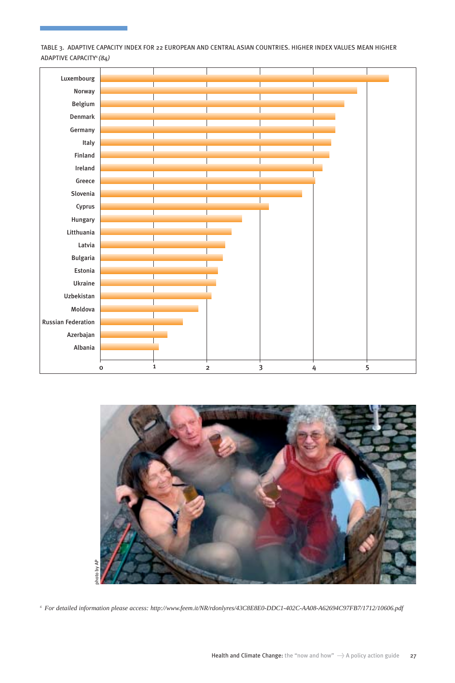TABLE 3. ADAPTIVE CAPACITY INDEX FOR 22 EUROPEAN AND CENTRAL ASIAN COUNTRIES. HIGHER INDEX VALUES MEAN HIGHER ADAPTIVE CAPACITY<sup>6</sup> (84)





*<sup>6</sup> For detailed information please access: http://www.feem.it/NR/rdonlyres/43C8E8E0-DDC1-402C-AA08-A62694C97FB7/1712/10606.pdf*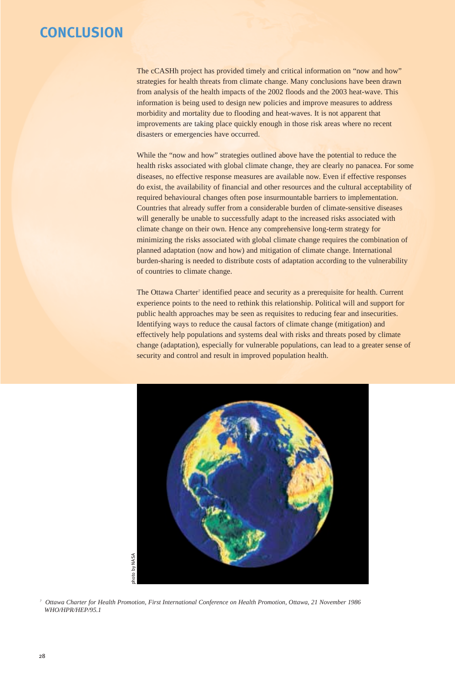## **CONCLUSION**

The cCASHh project has provided timely and critical information on "now and how" strategies for health threats from climate change. Many conclusions have been drawn from analysis of the health impacts of the 2002 floods and the 2003 heat-wave. This information is being used to design new policies and improve measures to address morbidity and mortality due to flooding and heat-waves. It is not apparent that improvements are taking place quickly enough in those risk areas where no recent disasters or emergencies have occurred.

While the "now and how" strategies outlined above have the potential to reduce the health risks associated with global climate change, they are clearly no panacea. For some diseases, no effective response measures are available now. Even if effective responses do exist, the availability of financial and other resources and the cultural acceptability of required behavioural changes often pose insurmountable barriers to implementation. Countries that already suffer from a considerable burden of climate-sensitive diseases will generally be unable to successfully adapt to the increased risks associated with climate change on their own. Hence any comprehensive long-term strategy for minimizing the risks associated with global climate change requires the combination of planned adaptation (now and how) and mitigation of climate change. International burden-sharing is needed to distribute costs of adaptation according to the vulnerability of countries to climate change.

The Ottawa Charter<sup>7</sup> identified peace and security as a prerequisite for health. Current experience points to the need to rethink this relationship. Political will and support for public health approaches may be seen as requisites to reducing fear and insecurities. Identifying ways to reduce the causal factors of climate change (mitigation) and effectively help populations and systems deal with risks and threats posed by climate change (adaptation), especially for vulnerable populations, can lead to a greater sense of security and control and result in improved population health.



*<sup>7</sup> Ottawa Charter for Health Promotion, First International Conference on Health Promotion, Ottawa, 21 November 1986 WHO/HPR/HEP/95.1*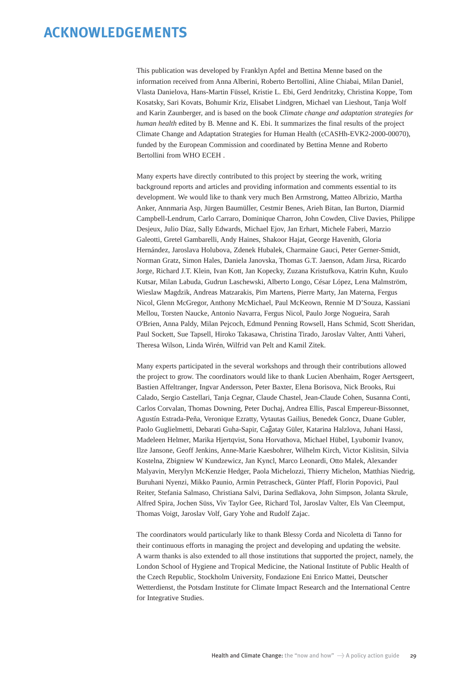## **ACKNOWLEDGEMENTS**

This publication was developed by Franklyn Apfel and Bettina Menne based on the information received from Anna Alberini, Roberto Bertollini, Aline Chiabai, Milan Daniel, Vlasta Danielova, Hans-Martin Füssel, Kristie L. Ebi, Gerd Jendritzky, Christina Koppe, Tom Kosatsky, Sari Kovats, Bohumir Kriz, Elisabet Lindgren, Michael van Lieshout, Tanja Wolf and Karin Zaunberger, and is based on the book *Climate change and adaptation strategies for human health* edited by B. Menne and K. Ebi. It summarizes the final results of the project Climate Change and Adaptation Strategies for Human Health (cCASHh-EVK2-2000-00070), funded by the European Commission and coordinated by Bettina Menne and Roberto Bertollini from WHO ECEH .

Many experts have directly contributed to this project by steering the work, writing background reports and articles and providing information and comments essential to its development. We would like to thank very much Ben Armstrong, Matteo Albrizio, Martha Anker, Annmaria Asp, Jürgen Baumüller, Cestmir Benes, Arieh Bitan, Ian Burton, Diarmid Campbell-Lendrum, Carlo Carraro, Dominique Charron, John Cowden, Clive Davies, Philippe Desjeux, Julio Díaz, Sally Edwards, Michael Ejov, Jan Erhart, Michele Faberi, Marzio Galeotti, Gretel Gambarelli, Andy Haines, Shakoor Hajat, George Havenith, Gloria Hernández, Jaroslava Holubova, Zdenek Hubalek, Charmaine Gauci, Peter Gerner-Smidt, Norman Gratz, Simon Hales, Daniela Janovska, Thomas G.T. Jaenson, Adam Jirsa, Ricardo Jorge, Richard J.T. Klein, Ivan Kott, Jan Kopecky, Zuzana Kristufkova, Katrin Kuhn, Kuulo Kutsar, Milan Labuda, Gudrun Laschewski, Alberto Longo, César López, Lena Malmström, Wieslaw Magdzik, Andreas Matzarakis, Pim Martens, Pierre Marty, Jan Materna, Fergus Nicol, Glenn McGregor, Anthony McMichael, Paul McKeown, Rennie M D'Souza, Kassiani Mellou, Torsten Naucke, Antonio Navarra, Fergus Nicol, Paulo Jorge Nogueira, Sarah O'Brien, Anna Paldy, Milan Pejcoch, Edmund Penning Rowsell, Hans Schmid, Scott Sheridan, Paul Sockett, Sue Tapsell, Hiroko Takasawa, Christina Tirado, Jaroslav Valter, Antti Vaheri, Theresa Wilson, Linda Wirén, Wilfrid van Pelt and Kamil Zitek.

Many experts participated in the several workshops and through their contributions allowed the project to grow. The coordinators would like to thank Lucien Abenhaim, Roger Aertsgeert, Bastien Affeltranger, Ingvar Andersson, Peter Baxter, Elena Borisova, Nick Brooks, Rui Calado, Sergio Castellari, Tanja Cegnar, Claude Chastel, Jean-Claude Cohen, Susanna Conti, Carlos Corvalan, Thomas Downing, Peter Duchaj, Andrea Ellis, Pascal Empereur-Bissonnet, Agustín Estrada-Peña, Veronique Ezratty, Vytautas Gailius, Benedek Goncz, Duane Gubler, Paolo Guglielmetti, Debarati Guha-Sapir, Cagatay Güler, Katarina Halzlova, Juhani Hassi, ˆMadeleen Helmer, Marika Hjertqvist, Sona Horvathova, Michael Hübel, Lyubomir Ivanov, Ilze Jansone, Geoff Jenkins, Anne-Marie Kaesbohrer, Wilhelm Kirch, Victor Kislitsin, Silvia Kostelna, Zbigniew W Kundzewicz, Jan Kyncl, Marco Leonardi, Otto Malek, Alexander Malyavin, Merylyn McKenzie Hedger, Paola Michelozzi, Thierry Michelon, Matthias Niedrig, Buruhani Nyenzi, Mikko Paunio, Armin Petrascheck, Günter Pfaff, Florin Popovici, Paul Reiter, Stefania Salmaso, Christiana Salvi, Darina Sedlakova, John Simpson, Jolanta Skrule, Alfred Spira, Jochen Süss, Viv Taylor Gee, Richard Tol, Jaroslav Valter, Els Van Cleemput, Thomas Voigt, Jaroslav Volf, Gary Yohe and Rudolf Zajac.

The coordinators would particularly like to thank Blessy Corda and Nicoletta di Tanno for their continuous efforts in managing the project and developing and updating the website. A warm thanks is also extended to all those institutions that supported the project, namely, the London School of Hygiene and Tropical Medicine, the National Institute of Public Health of the Czech Republic, Stockholm University, Fondazione Eni Enrico Mattei, Deutscher Wetterdienst, the Potsdam Institute for Climate Impact Research and the International Centre for Integrative Studies.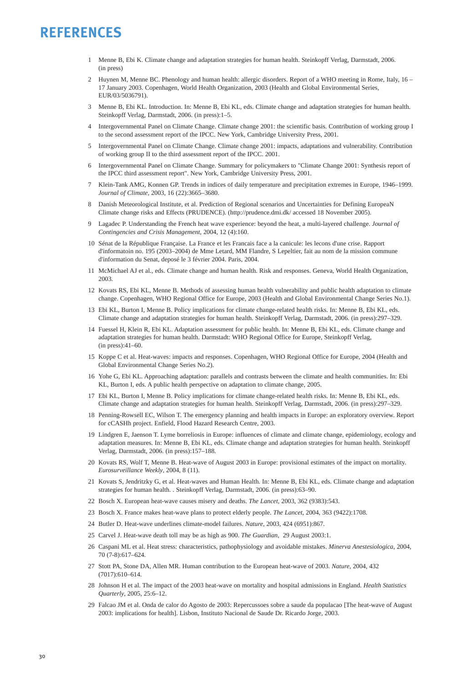# **REFERENCES**

- 1 Menne B, Ebi K. Climate change and adaptation strategies for human health. Steinkopff Verlag, Darmstadt, 2006. (in press)
- 2 Huynen M, Menne BC. Phenology and human health: allergic disorders. Report of a WHO meeting in Rome, Italy, 16 17 January 2003. Copenhagen, World Health Organization, 2003 (Health and Global Environmental Series, EUR/03/5036791).
- 3 Menne B, Ebi KL. Introduction. In: Menne B, Ebi KL, eds. Climate change and adaptation strategies for human health. Steinkopff Verlag, Darmstadt, 2006. (in press):1–5.
- 4 Intergovernmental Panel on Climate Change. Climate change 2001: the scientific basis. Contribution of working group I to the second assessment report of the IPCC. New York, Cambridge University Press, 2001.
- 5 Intergovernmental Panel on Climate Change. Climate change 2001: impacts, adaptations and vulnerability. Contribution of working group II to the third assessment report of the IPCC. 2001.
- 6 Intergovernmental Panel on Climate Change. Summary for policymakers to "Climate Change 2001: Synthesis report of the IPCC third assessment report". New York, Cambridge University Press, 2001.
- 7 Klein-Tank AMG, Konnen GP. Trends in indices of daily temperature and precipitation extremes in Europe, 1946–1999. *Journal of Climate*, 2003, 16 (22):3665–3680.
- 8 Danish Meteorological Institute, et al. Prediction of Regional scenarios and Uncertainties for Defining EuropeaN Climate change risks and Effects (PRUDENCE). (http://prudence.dmi.dk/ accessed 18 November 2005).
- 9 Lagadec P. Understanding the French heat wave experience: beyond the heat, a multi-layered challenge. *Journal of Contingencies and Crisis Management*, 2004, 12 (4):160.
- 10 Sénat de la République Française. La France et les Francais face a la canicule: les lecons d'une crise. Rapport d'informatoin no. 195 (2003–2004) de Mme Letard, MM Flandre, S Lepeltier, fait au nom de la mission commune d'information du Senat, deposé le 3 février 2004. Paris, 2004.
- 11 McMichael AJ et al., eds. Climate change and human health. Risk and responses. Geneva, World Health Organization, 2003.
- 12 Kovats RS, Ebi KL, Menne B. Methods of assessing human health vulnerability and public health adaptation to climate change. Copenhagen, WHO Regional Office for Europe, 2003 (Health and Global Environmental Change Series No.1).
- 13 Ebi KL, Burton I, Menne B. Policy implications for climate change-related health risks. In: Menne B, Ebi KL, eds. Climate change and adaptation strategies for human health. Steinkopff Verlag, Darmstadt, 2006. (in press):297–329.
- 14 Fuessel H, Klein R, Ebi KL. Adaptation assessment for public health. In: Menne B, Ebi KL, eds. Climate change and adaptation strategies for human health. Darmstadt: WHO Regional Office for Europe, Steinkopff Verlag, (in press):41–60.
- 15 Koppe C et al. Heat-waves: impacts and responses. Copenhagen, WHO Regional Office for Europe, 2004 (Health and Global Environmental Change Series No.2).
- 16 Yohe G, Ebi KL. Approaching adaptation: parallels and contrasts between the climate and health communities. In: Ebi KL, Burton I, eds. A public health perspective on adaptation to climate change, 2005.
- 17 Ebi KL, Burton I, Menne B. Policy implications for climate change-related health risks. In: Menne B, Ebi KL, eds. Climate change and adaptation strategies for human health. Steinkopff Verlag, Darmstadt, 2006. (in press):297–329.
- 18 Penning-Rowsell EC, Wilson T. The emergency planning and health impacts in Europe: an exploratory overview. Report for cCASHh project. Enfield, Flood Hazard Research Centre, 2003.
- 19 Lindgren E, Jaenson T. Lyme borreliosis in Europe: influences of climate and climate change, epidemiology, ecology and adaptation measures. In: Menne B, Ebi KL, eds. Climate change and adaptation strategies for human health. Steinkopff Verlag, Darmstadt, 2006. (in press):157–188.
- 20 Kovats RS, Wolf T, Menne B. Heat-wave of August 2003 in Europe: provisional estimates of the impact on mortality. *Eurosurveillance Weekly*, 2004, 8 (11).
- 21 Kovats S, Jendritzky G, et al. Heat-waves and Human Health. In: Menne B, Ebi KL, eds. Climate change and adaptation strategies for human health. . Steinkopff Verlag, Darmstadt, 2006. (in press):63–90.
- 22 Bosch X. European heat-wave causes misery and deaths. *The Lancet*, 2003, 362 (9383):543.
- 23 Bosch X. France makes heat-wave plans to protect elderly people. *The Lancet*, 2004, 363 (9422):1708.
- 24 Butler D. Heat-wave underlines climate-model failures. *Nature*, 2003, 424 (6951):867.
- 25 Carvel J. Heat-wave death toll may be as high as 900. *The Guardian*, 29 August 2003:1.
- 26 Caspani ML et al. Heat stress: characteristics, pathophysiology and avoidable mistakes. *Minerva Anestesiologica*, 2004, 70 (7-8):617–624.
- 27 Stott PA, Stone DA, Allen MR. Human contribution to the European heat-wave of 2003. *Nature*, 2004, 432 (7017):610–614.
- 28 Johnson H et al. The impact of the 2003 heat-wave on mortality and hospital admissions in England. *Health Statistics Quarterly*, 2005, 25:6–12.
- 29 Falcao JM et al. Onda de calor do Agosto de 2003: Repercussoes sobre a saude da populacao [The heat-wave of August 2003: implications for health]. Lisbon, Instituto Nacional de Saude Dr. Ricardo Jorge, 2003.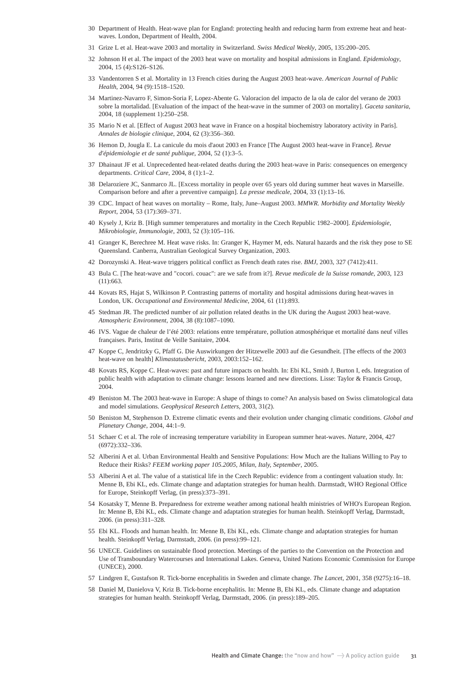- 30 Department of Health. Heat-wave plan for England: protecting health and reducing harm from extreme heat and heatwaves. London, Department of Health, 2004.
- 31 Grize L et al. Heat-wave 2003 and mortality in Switzerland. *Swiss Medical Weekly*, 2005, 135:200–205.
- 32 Johnson H et al. The impact of the 2003 heat wave on mortality and hospital admissions in England. *Epidemiology*, 2004, 15 (4):S126–S126.
- 33 Vandentorren S et al. Mortality in 13 French cities during the August 2003 heat-wave. *American Journal of Public Health*, 2004, 94 (9):1518–1520.
- 34 Martinez-Navarro F, Simon-Soria F, Lopez-Abente G. Valoracion del impacto de la ola de calor del verano de 2003 sobre la mortalidad. [Evaluation of the impact of the heat-wave in the summer of 2003 on mortality]. *Gaceta sanitaria*, 2004, 18 (supplement 1):250–258.
- 35 Mario N et al. [Effect of August 2003 heat wave in France on a hospital biochemistry laboratory activity in Paris]. *Annales de biologie clinique*, 2004, 62 (3):356–360.
- 36 Hemon D, Jougla E. La canicule du mois d'aout 2003 en France [The August 2003 heat-wave in France]. *Revue d'épidemiologie et de santé publique*, 2004, 52 (1):3–5.
- 37 Dhainaut JF et al. Unprecedented heat-related deaths during the 2003 heat-wave in Paris: consequences on emergency departments. *Critical Care*, 2004, 8 (1):1–2.
- 38 Delaroziere JC, Sanmarco JL. [Excess mortality in people over 65 years old during summer heat waves in Marseille. Comparison before and after a preventive campaign]. *La presse medicale*, 2004, 33 (1):13–16.
- 39 CDC. Impact of heat waves on mortality Rome, Italy, June–August 2003. *MMWR. Morbidity and Mortality Weekly Report*, 2004, 53 (17):369–371.
- 40 Kysely J, Kriz B. [High summer temperatures and mortality in the Czech Republic 1982–2000]. *Epidemiologie, Mikrobiologie, Immunologie*, 2003, 52 (3):105–116.
- 41 Granger K, Berechree M. Heat wave risks. In: Granger K, Haymer M, eds. Natural hazards and the risk they pose to SE Queensland. Canberra, Australian Geological Survey Organization, 2003.
- 42 Dorozynski A. Heat-wave triggers political conflict as French death rates rise. *BMJ*, 2003, 327 (7412):411.
- 43 Bula C. [The heat-wave and "cocori. couac": are we safe from it?]. *Revue medicale de la Suisse romande*, 2003, 123  $(11):663$
- 44 Kovats RS, Hajat S, Wilkinson P. Contrasting patterns of mortality and hospital admissions during heat-waves in London, UK. *Occupational and Environmental Medicine*, 2004, 61 (11):893.
- 45 Stedman JR. The predicted number of air pollution related deaths in the UK during the August 2003 heat-wave. *Atmospheric Environment*, 2004, 38 (8):1087–1090.
- 46 IVS. Vague de chaleur de l'été 2003: relations entre température, pollution atmosphérique et mortalité dans neuf villes françaises. Paris, Institut de Veille Sanitaire, 2004.
- 47 Koppe C, Jendritzky G, Pfaff G. Die Auswirkungen der Hitzewelle 2003 auf die Gesundheit. [The effects of the 2003 heat-wave on health] *Klimastatusbericht*, 2003, 2003:152–162.
- 48 Kovats RS, Koppe C. Heat-waves: past and future impacts on health. In: Ebi KL, Smith J, Burton I, eds. Integration of public health with adaptation to climate change: lessons learned and new directions. Lisse: Taylor & Francis Group, 2004.
- 49 Beniston M. The 2003 heat-wave in Europe: A shape of things to come? An analysis based on Swiss climatological data and model simulations. *Geophysical Research Letters*, 2003, 31(2).
- 50 Beniston M, Stephenson D. Extreme climatic events and their evolution under changing climatic conditions. *Global and Planetary Change*, 2004, 44:1–9.
- 51 Schaer C et al. The role of increasing temperature variability in European summer heat-waves. *Nature*, 2004, 427 (6972):332–336.
- 52 Alberini A et al. Urban Environmental Health and Sensitive Populations: How Much are the Italians Willing to Pay to Reduce their Risks? *FEEM working paper 105.2005, Milan, Italy, September*, 2005.
- 53 Alberini A et al. The value of a statistical life in the Czech Republic: evidence from a contingent valuation study. In: Menne B, Ebi KL, eds. Climate change and adaptation strategies for human health. Darmstadt, WHO Regional Office for Europe, Steinkopff Verlag, (in press):373–391.
- 54 Kosatsky T, Menne B. Preparedness for extreme weather among national health ministries of WHO's European Region. In: Menne B, Ebi KL, eds. Climate change and adaptation strategies for human health. Steinkopff Verlag, Darmstadt, 2006. (in press):311–328.
- 55 Ebi KL. Floods and human health. In: Menne B, Ebi KL, eds. Climate change and adaptation strategies for human health. Steinkopff Verlag, Darmstadt, 2006. (in press):99–121.
- 56 UNECE. Guidelines on sustainable flood protection. Meetings of the parties to the Convention on the Protection and Use of Transboundary Watercourses and International Lakes. Geneva, United Nations Economic Commission for Europe (UNECE), 2000.
- 57 Lindgren E, Gustafson R. Tick-borne encephalitis in Sweden and climate change. *The Lancet*, 2001, 358 (9275):16–18.
- 58 Daniel M, Danielova V, Kriz B. Tick-borne encephalitis. In: Menne B, Ebi KL, eds. Climate change and adaptation strategies for human health. Steinkopff Verlag, Darmstadt, 2006. (in press):189–205.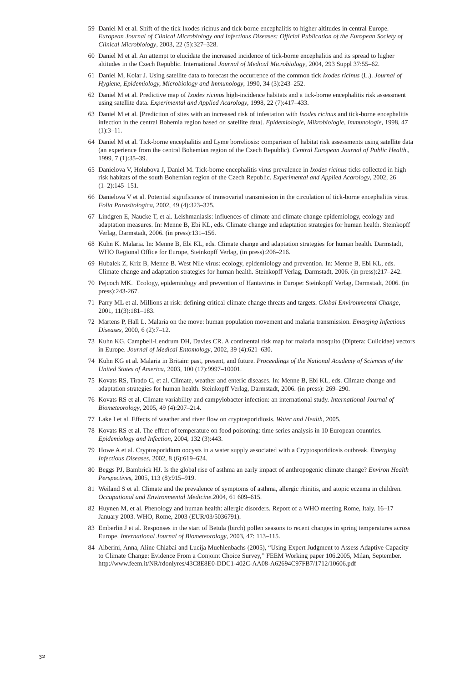- 59 Daniel M et al. Shift of the tick Ixodes ricinus and tick-borne encephalitis to higher altitudes in central Europe. *European Journal of Clinical Microbiology and Infectious Diseases: Official Publication of the European Society of Clinical Microbiology*, 2003, 22 (5):327–328.
- 60 Daniel M et al. An attempt to elucidate the increased incidence of tick-borne encephalitis and its spread to higher altitudes in the Czech Republic. International *Journal of Medical Microbiology*, 2004, 293 Suppl 37:55–62.
- 61 Daniel M, Kolar J. Using satellite data to forecast the occurrence of the common tick *Ixodes ricinus* (L.). *Journal of Hygiene, Epidemiology, Microbiology and Immunology*, 1990, 34 (3):243–252.
- 62 Daniel M et al. Predictive map of *Ixodes ricinus* high-incidence habitats and a tick-borne encephalitis risk assessment using satellite data. *Experimental and Applied Acarology*, 1998, 22 (7):417–433.
- 63 Daniel M et al. [Prediction of sites with an increased risk of infestation with *Ixodes ricinus* and tick-borne encephalitis infection in the central Bohemia region based on satellite data]. *Epidemiologie, Mikrobiologie, Immunologie*, 1998, 47  $(1):3–11.$
- 64 Daniel M et al. Tick-borne encephalitis and Lyme borreliosis: comparison of habitat risk assessments using satellite data (an experience from the central Bohemian region of the Czech Republic). *Central European Journal of Public Health*., 1999, 7 (1):35–39.
- 65 Danielova V, Holubova J, Daniel M. Tick-borne encephalitis virus prevalence in *Ixodes ricinus* ticks collected in high risk habitats of the south Bohemian region of the Czech Republic. *Experimental and Applied Acarology*, 2002, 26 (1–2):145–151.
- 66 Danielova V et al. Potential significance of transovarial transmission in the circulation of tick-borne encephalitis virus. *Folia Parasitologica*, 2002, 49 (4):323–325.
- 67 Lindgren E, Naucke T, et al. Leishmaniasis: influences of climate and climate change epidemiology, ecology and adaptation measures. In: Menne B, Ebi KL, eds. Climate change and adaptation strategies for human health. Steinkopff Verlag, Darmstadt, 2006. (in press):131–156.
- 68 Kuhn K. Malaria. In: Menne B, Ebi KL, eds. Climate change and adaptation strategies for human health. Darmstadt, WHO Regional Office for Europe, Steinkopff Verlag, (in press):206–216.
- 69 Hubalek Z, Kriz B, Menne B. West Nile virus: ecology, epidemiology and prevention. In: Menne B, Ebi KL, eds. Climate change and adaptation strategies for human health. Steinkopff Verlag, Darmstadt, 2006. (in press):217–242.
- 70 Pejcoch MK. Ecology, epidemiology and prevention of Hantavirus in Europe: Steinkopff Verlag, Darmstadt, 2006. (in press):243-267.
- 71 Parry ML et al. Millions at risk: defining critical climate change threats and targets. *Global Environmental Change*, 2001, 11(3):181–183.
- 72 Martens P, Hall L. Malaria on the move: human population movement and malaria transmission. *Emerging Infectious Diseases*, 2000, 6 (2):7–12.
- 73 Kuhn KG, Campbell-Lendrum DH, Davies CR. A continental risk map for malaria mosquito (Diptera: Culicidae) vectors in Europe. *Journal of Medical Entomology*, 2002, 39 (4):621–630.
- 74 Kuhn KG et al. Malaria in Britain: past, present, and future. *Proceedings of the National Academy of Sciences of the United States of America*, 2003, 100 (17):9997–10001.
- 75 Kovats RS, Tirado C, et al. Climate, weather and enteric diseases. In: Menne B, Ebi KL, eds. Climate change and adaptation strategies for human health. Steinkopff Verlag, Darmstadt, 2006. (in press): 269–290.
- 76 Kovats RS et al. Climate variability and campylobacter infection: an international study. *International Journal of Biometeorology*, 2005, 49 (4):207–214.
- 77 Lake I et al. Effects of weather and river flow on cryptosporidiosis. *Water and Health*, 2005.
- 78 Kovats RS et al. The effect of temperature on food poisoning: time series analysis in 10 European countries. *Epidemiology and Infection*, 2004, 132 (3):443.
- 79 Howe A et al. Cryptosporidium oocysts in a water supply associated with a Cryptosporidiosis outbreak. *Emerging Infectious Diseases*, 2002, 8 (6):619–624.
- 80 Beggs PJ, Bambrick HJ. Is the global rise of asthma an early impact of anthropogenic climate change? *Environ Health Perspectives*, 2005, 113 (8):915–919.
- 81 Weiland S et al. Climate and the prevalence of symptoms of asthma, allergic rhinitis, and atopic eczema in children. *Occupational and Environmental Medicine*.2004, 61 609–615.
- 82 Huynen M, et al. Phenology and human health: allergic disorders. Report of a WHO meeting Rome, Italy. 16–17 January 2003. WHO, Rome, 2003 (EUR/03/5036791).
- 83 Emberlin J et al. Responses in the start of Betula (birch) pollen seasons to recent changes in spring temperatures across Europe. *International Journal of Biometeorology*, 2003, 47: 113–115.
- 84 Alberini, Anna, Aline Chiabai and Lucija Muehlenbachs (2005), "Using Expert Judgment to Assess Adaptive Capacity to Climate Change: Evidence From a Conjoint Choice Survey," FEEM Working paper 106.2005, Milan, September. http://www.feem.it/NR/rdonlyres/43C8E8E0-DDC1-402C-AA08-A62694C97FB7/1712/10606.pdf